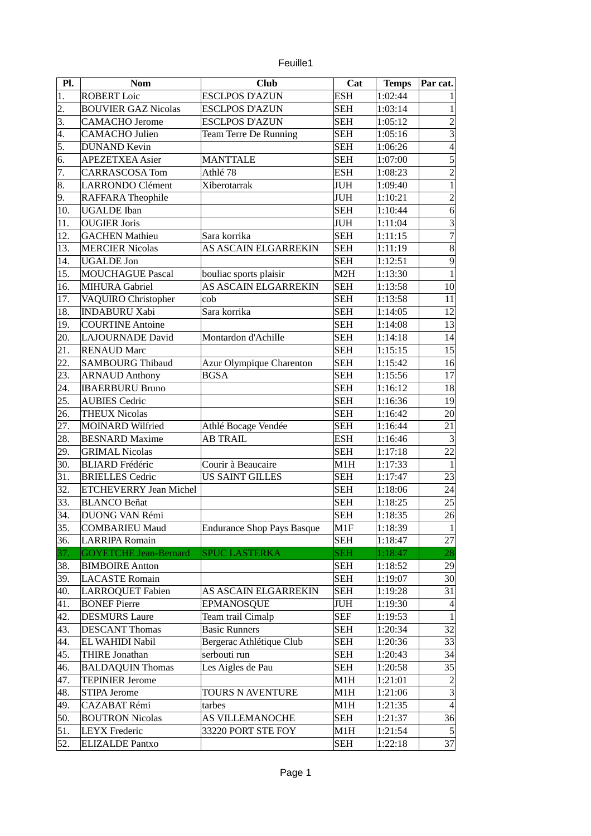| euille |  |
|--------|--|
|        |  |
|        |  |

| Pl. | <b>Nom</b>                                    | <b>Club</b>                       | Cat        | <b>Temps</b>       | Par cat.                           |
|-----|-----------------------------------------------|-----------------------------------|------------|--------------------|------------------------------------|
| 1.  | <b>ROBERT Loic</b>                            | <b>ESCLPOS D'AZUN</b>             | <b>ESH</b> | 1:02:44            | 1                                  |
| 2.  | <b>BOUVIER GAZ Nicolas</b>                    | <b>ESCLPOS D'AZUN</b>             | <b>SEH</b> | 1:03:14            | $\mathbf 1$                        |
| 3.  | <b>CAMACHO</b> Jerome                         | <b>ESCLPOS D'AZUN</b>             | <b>SEH</b> | 1:05:12            | $\overline{a}$                     |
| 4.  | <b>CAMACHO</b> Julien                         | <b>Team Terre De Running</b>      | <b>SEH</b> | 1:05:16            | 3                                  |
| 5.  | <b>DUNAND Kevin</b>                           |                                   | <b>SEH</b> | 1:06:26            | $\overline{\mathcal{L}}$           |
| 6.  | <b>APEZETXEA Asier</b>                        | <b>MANTTALE</b>                   | <b>SEH</b> | 1:07:00            | 5                                  |
| 7.  | <b>CARRASCOSA Tom</b>                         | Athlé 78                          | <b>ESH</b> | 1:08:23            | $\overline{a}$                     |
| 8.  | LARRONDO Clément                              | Xiberotarrak                      | <b>JUH</b> | 1:09:40            | $\mathbf{1}$                       |
| 9.  | <b>RAFFARA Theophile</b>                      |                                   | <b>JUH</b> | 1:10:21            | $\overline{2}$                     |
| 10. | <b>UGALDE</b> Iban                            |                                   | <b>SEH</b> | 1:10:44            | $\,6\,$                            |
| 11. | <b>OUGIER Joris</b>                           |                                   | JUH        | 1:11:04            | $\overline{3}$                     |
| 12. | <b>GACHEN Mathieu</b>                         | Sara korrika                      | <b>SEH</b> | 1:11:15            | $\overline{7}$                     |
| 13. | <b>MERCIER Nicolas</b>                        | AS ASCAIN ELGARREKIN              | <b>SEH</b> | 1:11:19            | $\, 8$                             |
| 14. | <b>UGALDE Jon</b>                             |                                   | <b>SEH</b> | 1:12:51            | 9                                  |
| 15. | <b>MOUCHAGUE Pascal</b>                       | bouliac sports plaisir            | M2H        | 1:13:30            | $\overline{1}$                     |
| 16. | MIHURA Gabriel                                | AS ASCAIN ELGARREKIN              | <b>SEH</b> | 1:13:58            | 10                                 |
| 17. | VAQUIRO Christopher                           | cob                               | <b>SEH</b> | 1:13:58            | 11                                 |
| 18. | <b>INDABURU Xabi</b>                          | Sara korrika                      | <b>SEH</b> | 1:14:05            | 12                                 |
| 19. | <b>COURTINE Antoine</b>                       |                                   | <b>SEH</b> | 1:14:08            | 13                                 |
| 20. | <b>LAJOURNADE David</b>                       | Montardon d'Achille               | <b>SEH</b> | 1:14:18            | 14                                 |
| 21. | <b>RENAUD Marc</b>                            |                                   | <b>SEH</b> | 1:15:15            | 15                                 |
| 22. | <b>SAMBOURG Thibaud</b>                       | Azur Olympique Charenton          | <b>SEH</b> | 1:15:42            | 16                                 |
| 23. | <b>ARNAUD Anthony</b>                         | <b>BGSA</b>                       | <b>SEH</b> | 1:15:56            | 17                                 |
| 24. | <b>IBAERBURU Bruno</b>                        |                                   | <b>SEH</b> | 1:16:12            | 18                                 |
| 25. | <b>AUBIES Cedric</b>                          |                                   | <b>SEH</b> | 1:16:36            | 19                                 |
| 26. | <b>THEUX Nicolas</b>                          |                                   | <b>SEH</b> | 1:16:42            | 20                                 |
| 27. | <b>MOINARD Wilfried</b>                       | Athlé Bocage Vendée               | <b>SEH</b> | 1:16:44            | 21                                 |
| 28. | <b>BESNARD Maxime</b>                         | <b>AB TRAIL</b>                   | <b>ESH</b> | 1:16:46            | 3                                  |
| 29. | <b>GRIMAL Nicolas</b>                         |                                   | <b>SEH</b> | 1:17:18            | 22                                 |
| 30. | <b>BLIARD</b> Frédéric                        | Courir à Beaucaire                | M1H        | 1:17:33            | $\mathbf{1}$                       |
| 31. | <b>BRIELLES Cedric</b>                        | <b>US SAINT GILLES</b>            | <b>SEH</b> | 1:17:47            | 23                                 |
| 32. | <b>ETCHEVERRY Jean Michel</b>                 |                                   | <b>SEH</b> | 1:18:06            | 24                                 |
| 33. | <b>BLANCO Beñat</b>                           |                                   | <b>SEH</b> | 1:18:25            | 25                                 |
| 34. | <b>DUONG VAN Rémi</b>                         |                                   | <b>SEH</b> | 1:18:35            | 26                                 |
| 35. | <b>COMBARIEU Maud</b>                         | <b>Endurance Shop Pays Basque</b> | M1F        | 1:18:39            | 1                                  |
| 36. | <b>LARRIPA Romain</b>                         |                                   | <b>SEH</b> | 1:18:47            | 27                                 |
| 37. | <b>GOYETCHE Jean-Bernard</b>                  | <b>SPUC LASTERKA</b>              | <b>SEH</b> | 1:18:47            | 28                                 |
| 38. | <b>BIMBOIRE Antton</b>                        |                                   | <b>SEH</b> | 1:18:52            | 29                                 |
| 39. | <b>LACASTE Romain</b>                         |                                   | <b>SEH</b> | 1:19:07            | 30 <sup>°</sup>                    |
| 40. | <b>LARROQUET Fabien</b>                       | AS ASCAIN ELGARREKIN              | <b>SEH</b> | 1:19:28            | 31                                 |
| 41. | <b>BONEF Pierre</b>                           | <b>EPMANOSQUE</b>                 | JUH        | 1:19:30            | $\overline{4}$                     |
| 42. | <b>DESMURS Laure</b>                          | Team trail Cimalp                 | <b>SEF</b> | 1:19:53            | $\vert$                            |
| 43. | <b>DESCANT Thomas</b>                         | <b>Basic Runners</b>              | <b>SEH</b> | 1:20:34            | 32                                 |
| 44. | EL WAHIDI Nabil                               | Bergerac Athlétique Club          | <b>SEH</b> | 1:20:36            | 33                                 |
| 45. | THIRE Jonathan                                | serbouti run                      | <b>SEH</b> |                    | 34                                 |
| 46. | <b>BALDAQUIN Thomas</b>                       | Les Aigles de Pau                 | <b>SEH</b> | 1:20:43<br>1:20:58 | 35                                 |
| 47. |                                               |                                   |            |                    |                                    |
| 48. | <b>TEPINIER Jerome</b><br><b>STIPA Jerome</b> | TOURS N AVENTURE                  | M1H<br>M1H | 1:21:01<br>1:21:06 | $\overline{2}$                     |
| 49. | CAZABAT Rémi                                  |                                   | M1H        |                    | $\vert 3 \vert$<br>$\vert 4 \vert$ |
|     |                                               | tarbes                            |            | 1:21:35            |                                    |
| 50. | <b>BOUTRON Nicolas</b>                        | AS VILLEMANOCHE                   | <b>SEH</b> | 1:21:37            | 36                                 |
| 51. | <b>LEYX Frederic</b>                          | 33220 PORT STE FOY                | M1H        | 1:21:54            | $\overline{5}$                     |
| 52. | ELIZALDE Pantxo                               |                                   | <b>SEH</b> | 1:22:18            | 37                                 |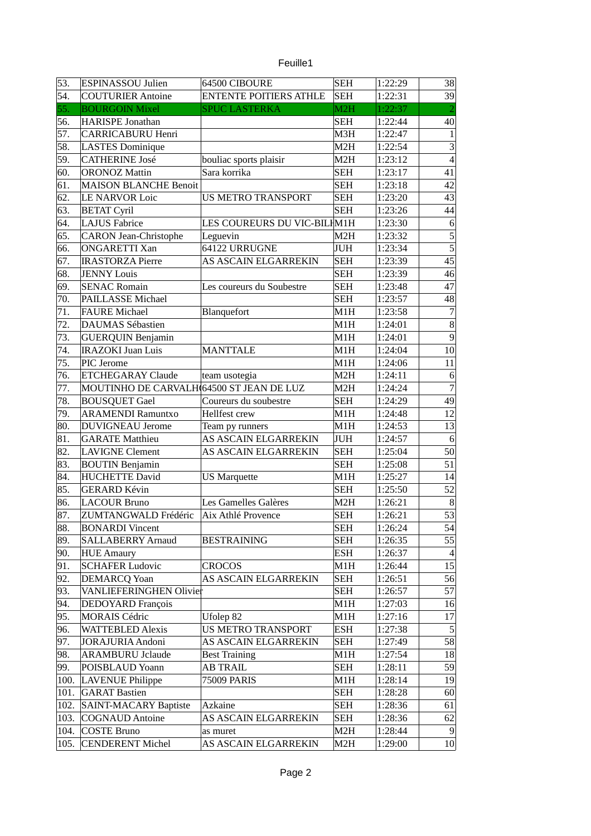| euille |  |
|--------|--|
|        |  |
|        |  |

| 53.  | <b>ESPINASSOU Julien</b>                 | 64500 CIBOURE                 | <b>SEH</b>       | 1:22:29 | 38               |
|------|------------------------------------------|-------------------------------|------------------|---------|------------------|
| 54.  | <b>COUTURIER Antoine</b>                 | <b>ENTENTE POITIERS ATHLE</b> | <b>SEH</b>       | 1:22:31 | 39               |
| 55.  | <b>BOURGOIN Mixel</b>                    | <b>SPUC LASTERKA</b>          | M2H              | 1:22:37 |                  |
| 56.  | <b>HARISPE Jonathan</b>                  |                               | <b>SEH</b>       | 1:22:44 | 40               |
| 57.  | <b>CARRICABURU Henri</b>                 |                               | M3H              | 1:22:47 | $\mathbf{1}$     |
| 58.  | <b>LASTES Dominique</b>                  |                               | M2H              | 1:22:54 | 3                |
| 59.  | <b>CATHERINE José</b>                    | bouliac sports plaisir        | M2H              | 1:23:12 | $\overline{4}$   |
| 60.  | <b>ORONOZ Mattin</b>                     | Sara korrika                  | <b>SEH</b>       | 1:23:17 | 41               |
| 61.  | <b>MAISON BLANCHE Benoit</b>             |                               | <b>SEH</b>       | 1:23:18 | 42               |
| 62.  | <b>LE NARVOR Loic</b>                    | US METRO TRANSPORT            | <b>SEH</b>       | 1:23:20 | 43               |
| 63.  | <b>BETAT Cyril</b>                       |                               | <b>SEH</b>       | 1:23:26 | 44               |
| 64.  | <b>LAJUS Fabrice</b>                     | LES COUREURS DU VIC-BILIM1H   |                  | 1:23:30 | 6                |
| 65.  | <b>CARON Jean-Christophe</b>             | Leguevin                      | M2H              | 1:23:32 |                  |
| 66.  | <b>ONGARETTI Xan</b>                     | 64122 URRUGNE                 | JUH              | 1:23:34 | $\frac{5}{5}$    |
| 67.  | <b>IRASTORZA Pierre</b>                  | AS ASCAIN ELGARREKIN          | <b>SEH</b>       | 1:23:39 | 45               |
| 68.  | <b>JENNY Louis</b>                       |                               | <b>SEH</b>       | 1:23:39 | 46               |
| 69.  | <b>SENAC Romain</b>                      | Les coureurs du Soubestre     | <b>SEH</b>       | 1:23:48 | 47               |
| 70.  | PAILLASSE Michael                        |                               | <b>SEH</b>       | 1:23:57 | 48               |
| 71.  | <b>FAURE Michael</b>                     | Blanquefort                   | M1H              | 1:23:58 | $\overline{7}$   |
| 72.  | <b>DAUMAS Sébastien</b>                  |                               | M1H              | 1:24:01 | $\, 8$           |
| 73.  | <b>GUERQUIN Benjamin</b>                 |                               | M1H              | 1:24:01 | $\overline{9}$   |
| 74.  | <b>IRAZOKI Juan Luis</b>                 | <b>MANTTALE</b>               | M1H              | 1:24:04 | 10               |
| 75.  | PIC Jerome                               |                               | M <sub>1</sub> H | 1:24:06 | 11               |
| 76.  | <b>ETCHEGARAY Claude</b>                 | team usotegia                 | M <sub>2</sub> H | 1:24:11 | $\,6\,$          |
| 77.  | MOUTINHO DE CARVALH 64500 ST JEAN DE LUZ |                               | M2H              | 1:24:24 | $\overline{7}$   |
| 78.  | <b>BOUSQUET Gael</b>                     | Coureurs du soubestre         | <b>SEH</b>       | 1:24:29 | 49               |
| 79.  | <b>ARAMENDI Ramuntxo</b>                 | Hellfest crew                 | M1H              | 1:24:48 | 12               |
| 80.  | <b>DUVIGNEAU Jerome</b>                  | Team py runners               | M1H              | 1:24:53 | 13               |
| 81.  | <b>GARATE Matthieu</b>                   | AS ASCAIN ELGARREKIN          | JUH              | 1:24:57 | 6                |
| 82.  | <b>LAVIGNE Clement</b>                   | AS ASCAIN ELGARREKIN          | <b>SEH</b>       | 1:25:04 | 50               |
| 83.  | <b>BOUTIN Benjamin</b>                   |                               | <b>SEH</b>       | 1:25:08 | 51               |
| 84.  | <b>HUCHETTE David</b>                    | <b>US Marquette</b>           | M1H              | 1:25:27 | 14               |
| 85.  | <b>GERARD Kévin</b>                      |                               | <b>SEH</b>       | 1:25:50 | 52               |
| 86.  | <b>LACOUR Bruno</b>                      | Les Gamelles Galères          | M2H              | 1:26:21 | $\boldsymbol{8}$ |
| 87.  | ZUMTANGWALD Frédéric                     | Aix Athlé Provence            | <b>SEH</b>       | 1:26:21 | $\overline{53}$  |
| 88.  | <b>BONARDI</b> Vincent                   |                               | <b>SEH</b>       | 1:26:24 | 54               |
| 89.  | <b>SALLABERRY Arnaud</b>                 | <b>BESTRAINING</b>            | <b>SEH</b>       | 1:26:35 | 55               |
| 90.  | <b>HUE Amaury</b>                        |                               | ESH              | 1:26:37 | $\vert$          |
| 91.  | <b>SCHAFER Ludovic</b>                   | <b>CROCOS</b>                 | M1H              | 1:26:44 | 15               |
| 92.  | <b>DEMARCQ Yoan</b>                      | AS ASCAIN ELGARREKIN          | <b>SEH</b>       | 1:26:51 | 56               |
| 93.  | <b>VANLIEFERINGHEN Olivier</b>           |                               | <b>SEH</b>       | 1:26:57 | 57               |
| 94.  | DEDOYARD François                        |                               | M1H              | 1:27:03 | 16               |
| 95.  | <b>MORAIS Cédric</b>                     | Ufolep 82                     | M1H              | 1:27:16 | $17\,$           |
| 96.  | <b>WATTEBLED Alexis</b>                  | <b>US METRO TRANSPORT</b>     | ESH              | 1:27:38 | 5                |
| 97.  | <b>JORAJURIA</b> Andoni                  | AS ASCAIN ELGARREKIN          | SEH              | 1:27:49 | 58               |
| 98.  | <b>ARAMBURU Jclaude</b>                  | <b>Best Training</b>          | M1H              | 1:27:54 | 18               |
| 99.  | POISBLAUD Yoann                          | <b>AB TRAIL</b>               | <b>SEH</b>       | 1:28:11 | 59               |
| 100. | LAVENUE Philippe                         | 75009 PARIS                   | M1H              | 1:28:14 | 19               |
| 101. | <b>GARAT Bastien</b>                     |                               | <b>SEH</b>       | 1:28:28 | 60               |
| 102. | <b>SAINT-MACARY Baptiste</b>             | Azkaine                       | <b>SEH</b>       | 1:28:36 | 61               |
| 103. | <b>COGNAUD Antoine</b>                   | AS ASCAIN ELGARREKIN          | <b>SEH</b>       | 1:28:36 | 62               |
| 104. | COSTE Bruno                              |                               | M2H              | 1:28:44 | 9                |
| 105. |                                          | as muret                      |                  |         | 10 <sup>1</sup>  |
|      | <b>CENDERENT Michel</b>                  | AS ASCAIN ELGARREKIN          | M2H              | 1:29:00 |                  |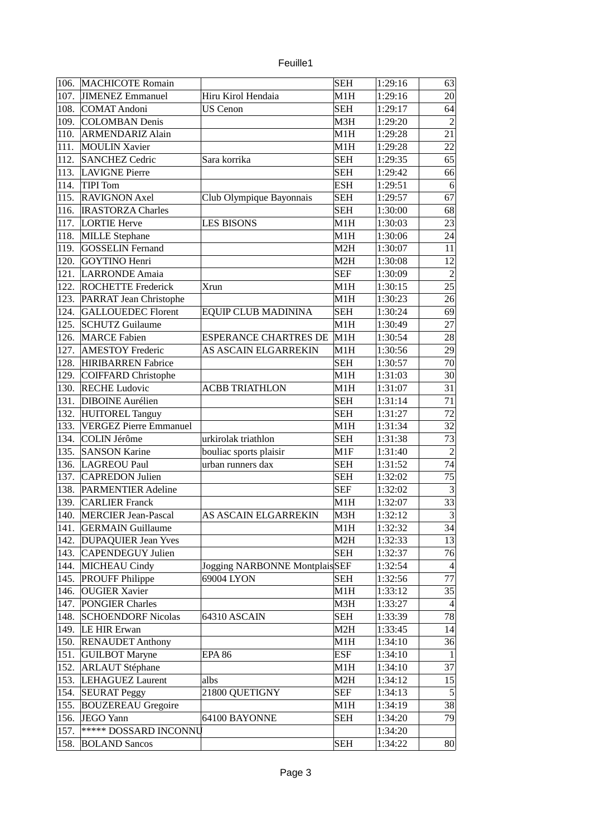| euille |  |
|--------|--|
|        |  |
|        |  |

| 106. | MACHICOTE Romain              |                               | <b>SEH</b> | 1:29:16 | 63              |
|------|-------------------------------|-------------------------------|------------|---------|-----------------|
| 107. | JIMENEZ Emmanuel              | Hiru Kirol Hendaia            | M1H        | 1:29:16 | 20              |
| 108. | COMAT Andoni                  | <b>US Cenon</b>               | <b>SEH</b> | 1:29:17 | 64              |
| 109. | <b>COLOMBAN Denis</b>         |                               | M3H        | 1:29:20 | $\overline{2}$  |
| 110. | <b>ARMENDARIZ Alain</b>       |                               | M1H        | 1:29:28 | 21              |
| 111. | <b>MOULIN Xavier</b>          |                               | M1H        | 1:29:28 | 22              |
| 112. | <b>SANCHEZ Cedric</b>         | Sara korrika                  | <b>SEH</b> | 1:29:35 | 65              |
| 113. | <b>LAVIGNE Pierre</b>         |                               | <b>SEH</b> | 1:29:42 | 66              |
| 114. | TIPI Tom                      |                               | <b>ESH</b> | 1:29:51 | 6               |
| 115. | <b>RAVIGNON Axel</b>          | Club Olympique Bayonnais      | <b>SEH</b> | 1:29:57 | 67              |
| 116. | <b>IRASTORZA Charles</b>      |                               | <b>SEH</b> | 1:30:00 | 68              |
| 117. | LORTIE Herve                  | <b>LES BISONS</b>             | M1H        | 1:30:03 | 23              |
| 118. | MILLE Stephane                |                               | M1H        | 1:30:06 | 24              |
| 119. | <b>GOSSELIN Fernand</b>       |                               | M2H        | 1:30:07 | 11              |
|      |                               |                               |            |         |                 |
| 120. | GOYTINO Henri                 |                               | M2H        | 1:30:08 | 12              |
| 121. | LARRONDE Amaia                |                               | <b>SEF</b> | 1:30:09 | $\overline{2}$  |
| 122. | <b>ROCHETTE Frederick</b>     | <b>Xrun</b>                   | M1H        | 1:30:15 | 25              |
| 123. | PARRAT Jean Christophe        |                               | M1H        | 1:30:23 | 26              |
| 124. | <b>GALLOUEDEC Florent</b>     | EQUIP CLUB MADININA           | <b>SEH</b> | 1:30:24 | 69              |
| 125. | <b>SCHUTZ Guilaume</b>        |                               | M1H        | 1:30:49 | 27              |
| 126. | <b>MARCE Fabien</b>           | <b>ESPERANCE CHARTRES DE</b>  | M1H        | 1:30:54 | 28              |
| 127. | <b>AMESTOY Frederic</b>       | AS ASCAIN ELGARREKIN          | M1H        | 1:30:56 | 29              |
| 128. | HIRIBARREN Fabrice            |                               | <b>SEH</b> | 1:30:57 | 70              |
| 129. | COIFFARD Christophe           |                               | M1H        | 1:31:03 | 30              |
| 130. | <b>RECHE Ludovic</b>          | <b>ACBB TRIATHLON</b>         | M1H        | 1:31:07 | 31              |
| 131. | <b>DIBOINE</b> Aurélien       |                               | <b>SEH</b> | 1:31:14 | 71              |
| 132. | HUITOREL Tanguy               |                               | <b>SEH</b> | 1:31:27 | 72              |
| 133. | <b>VERGEZ Pierre Emmanuel</b> |                               | M1H        | 1:31:34 | 32              |
| 134. | COLIN Jérôme                  | urkirolak triathlon           | <b>SEH</b> | 1:31:38 | 73              |
| 135. | <b>SANSON Karine</b>          | bouliac sports plaisir        | M1F        | 1:31:40 | $\overline{2}$  |
| 136. | LAGREOU Paul                  | urban runners dax             | <b>SEH</b> | 1:31:52 | 74              |
| 137. | <b>CAPREDON Julien</b>        |                               | <b>SEH</b> | 1:32:02 | 75              |
| 138. | <b>PARMENTIER Adeline</b>     |                               | <b>SEF</b> | 1:32:02 | $\overline{3}$  |
| 139. | <b>CARLIER Franck</b>         |                               | M1H        | 1:32:07 | 33              |
| 140. | <b>MERCIER Jean-Pascal</b>    | <b>AS ASCAIN ELGARREKIN</b>   | M3H        | 1:32:12 | $\overline{3}$  |
| 141. | <b>GERMAIN Guillaume</b>      |                               | M1H        | 1:32:32 | 34              |
| 142. | <b>DUPAQUIER Jean Yves</b>    |                               | M2H        | 1:32:33 | 13              |
| 143. | CAPENDEGUY Julien             |                               | <b>SEH</b> | 1:32:37 | 76              |
| 144. | <b>MICHEAU Cindy</b>          | Jogging NARBONNE MontplaisSEF |            | 1:32:54 | $\overline{4}$  |
| 145. | <b>PROUFF Philippe</b>        | 69004 LYON                    | <b>SEH</b> | 1:32:56 | 77              |
| 146. | <b>OUGIER Xavier</b>          |                               | M1H        | 1:33:12 | 35              |
| 147. | <b>PONGIER Charles</b>        |                               | M3H        | 1:33:27 | $\vert 4 \vert$ |
| 148. | <b>SCHOENDORF Nicolas</b>     | 64310 ASCAIN                  | <b>SEH</b> | 1:33:39 | 78              |
|      | 149. LE HIR Erwan             |                               |            |         | 14              |
|      |                               |                               | M2H        | 1:33:45 |                 |
| 150. | <b>RENAUDET Anthony</b>       |                               | M1H        | 1:34:10 | 36              |
| 151. | <b>GUILBOT Maryne</b>         | <b>EPA 86</b>                 | <b>ESF</b> | 1:34:10 | $\vert$ 1       |
| 152. | <b>ARLAUT Stéphane</b>        |                               | M1H        | 1:34:10 | 37              |
| 153. | LEHAGUEZ Laurent              | albs                          | M2H        | 1:34:12 | 15              |
| 154. | <b>SEURAT Peggy</b>           | 21800 QUETIGNY                | <b>SEF</b> | 1:34:13 | $\overline{5}$  |
| 155. | <b>BOUZEREAU Gregoire</b>     |                               | M1H        | 1:34:19 | 38              |
| 156. | JEGO Yann                     | 64100 BAYONNE                 | <b>SEH</b> | 1:34:20 | 79              |
| 157. | ***** DOSSARD INCONNU         |                               |            | 1:34:20 |                 |
| 158. | <b>BOLAND Sancos</b>          |                               | <b>SEH</b> | 1:34:22 | 80              |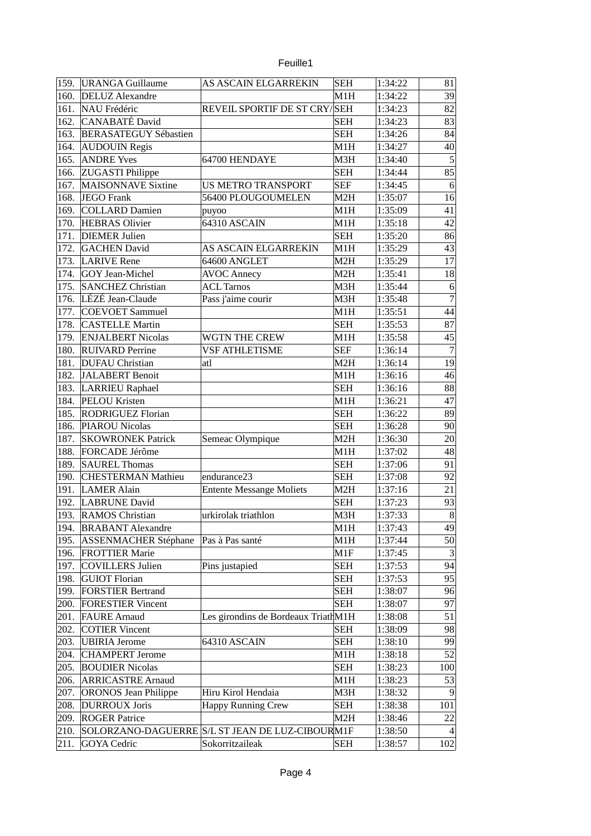## Feuille1

| 159. | <b>URANGA Guillaume</b>      | AS ASCAIN ELGARREKIN                | <b>SEH</b>       | 1:34:22            | 81               |
|------|------------------------------|-------------------------------------|------------------|--------------------|------------------|
| 160. | <b>DELUZ</b> Alexandre       |                                     | M1H              | 1:34:22            | 39               |
| 161. | NAU Frédéric                 | REVEIL SPORTIF DE ST CRY/SEH        |                  | 1:34:23            | 82               |
| 162. | CANABATÉ David               |                                     | <b>SEH</b>       | 1:34:23            | 83               |
| 163. | <b>BERASATEGUY Sébastien</b> |                                     | <b>SEH</b>       | 1:34:26            | 84               |
| 164. | <b>AUDOUIN Regis</b>         |                                     | M1H              | 1:34:27            | 40               |
| 165. | <b>ANDRE Yves</b>            | 64700 HENDAYE                       | M3H              | 1:34:40            | 5                |
| 166. | <b>ZUGASTI Philippe</b>      |                                     | <b>SEH</b>       | 1:34:44            | 85               |
| 167. | <b>MAISONNAVE Sixtine</b>    | <b>US METRO TRANSPORT</b>           | <b>SEF</b>       | 1:34:45            | $6 \overline{6}$ |
| 168. | JEGO Frank                   | 56400 PLOUGOUMELEN                  | M <sub>2</sub> H | 1:35:07            | 16               |
| 169. | <b>COLLARD Damien</b>        | puyoo                               | M1H              | 1:35:09            | 41               |
| 170. | <b>HEBRAS Olivier</b>        | 64310 ASCAIN                        | M1H              | 1:35:18            | 42               |
| 171. | <b>DIEMER Julien</b>         |                                     | <b>SEH</b>       | 1:35:20            | 86               |
| 172. | <b>GACHEN David</b>          | AS ASCAIN ELGARREKIN                | M1H              | 1:35:29            | 43               |
| 173. | <b>LARIVE Rene</b>           | 64600 ANGLET                        | M <sub>2</sub> H | 1:35:29            | 17               |
| 174. | GOY Jean-Michel              | <b>AVOC Annecy</b>                  | M2H              | 1:35:41            | 18               |
| 175. | <b>SANCHEZ Christian</b>     | <b>ACL Tarnos</b>                   | M3H              | 1:35:44            | $\,6\,$          |
| 176. | LÉZÉ Jean-Claude             | Pass j'aime courir                  | МЗН              | 1:35:48            | $\boldsymbol{7}$ |
| 177. | COEVOET Sammuel              |                                     | M1H              | 1:35:51            | 44               |
| 178. | <b>CASTELLE Martin</b>       |                                     | <b>SEH</b>       | 1:35:53            | 87               |
| 179. | <b>ENJALBERT Nicolas</b>     | WGTN THE CREW                       | M1H              | 1:35:58            | 45               |
| 180. | <b>RUIVARD Perrine</b>       | VSF ATHLETISME                      | <b>SEF</b>       | 1:36:14            | $\overline{7}$   |
| 181. | <b>DUFAU</b> Christian       | atl                                 | M2H              | 1:36:14            | 19               |
| 182. | JALABERT Benoit              |                                     | M1H              | 1:36:16            | 46               |
| 183. | LARRIEU Raphael              |                                     | <b>SEH</b>       | 1:36:16            | 88               |
| 184. | <b>PELOU Kristen</b>         |                                     | M1H              | 1:36:21            | 47               |
| 185. | <b>RODRIGUEZ Florian</b>     |                                     | <b>SEH</b>       | 1:36:22            | 89               |
| 186. | PIAROU Nicolas               |                                     | <b>SEH</b>       | 1:36:28            | 90               |
| 187. | <b>SKOWRONEK Patrick</b>     | Semeac Olympique                    | M <sub>2</sub> H | 1:36:30            | 20               |
| 188. | FORCADE Jérôme               |                                     | M1H              | 1:37:02            | 48               |
| 189. | <b>SAUREL Thomas</b>         |                                     | <b>SEH</b>       | 1:37:06            | 91               |
| 190. | <b>CHESTERMAN Mathieu</b>    | endurance23                         | <b>SEH</b>       | 1:37:08            | 92               |
| 191. | <b>LAMER Alain</b>           | <b>Entente Messange Moliets</b>     | M <sub>2</sub> H | 1:37:16            | 21               |
| 192. | LABRUNE David                |                                     | <b>SEH</b>       | 1:37:23            | 93               |
| 193. |                              | urkirolak triathlon                 | M <sub>3</sub> H |                    | $\bf{8}$         |
|      | <b>RAMOS Christian</b>       |                                     |                  | 1:37:33<br>1:37:43 |                  |
| 194. | <b>BRABANT Alexandre</b>     |                                     | M1H              |                    | 49               |
| 195. | <b>ASSENMACHER Stéphane</b>  | Pas à Pas santé                     | M1H              | 1:37:44            | 50               |
| 196. | <b>FROTTIER Marie</b>        |                                     | M1F              | 1:37:45            | $\overline{3}$   |
| 197. | <b>COVILLERS Julien</b>      | Pins justapied                      | <b>SEH</b>       | 1:37:53            | 94               |
| 198. | <b>GUIOT Florian</b>         |                                     | <b>SEH</b>       | 1:37:53            | 95               |
| 199. | <b>FORSTIER Bertrand</b>     |                                     | <b>SEH</b>       | 1:38:07            | 96               |
| 200. | <b>FORESTIER Vincent</b>     |                                     | <b>SEH</b>       | 1:38:07            | 97               |
| 201. | <b>FAURE</b> Arnaud          | Les girondins de Bordeaux TriathM1H |                  | 1:38:08            | 51               |
| 202. | <b>COTIER Vincent</b>        |                                     | <b>SEH</b>       | 1:38:09            | 98               |
| 203. | <b>UBIRIA Jerome</b>         | 64310 ASCAIN                        | SEH              | 1:38:10            | 99               |
| 204. | <b>CHAMPERT Jerome</b>       |                                     | M1H              | 1:38:18            | 52               |
| 205. | <b>BOUDIER Nicolas</b>       |                                     | <b>SEH</b>       | 1:38:23            | 100              |
| 206. | <b>ARRICASTRE Arnaud</b>     |                                     | M1H              | 1:38:23            | 53               |
| 207. | <b>ORONOS Jean Philippe</b>  | Hiru Kirol Hendaia                  | M3H              | 1:38:32            | $\vert 9 \vert$  |
| 208. | <b>DURROUX Joris</b>         | <b>Happy Running Crew</b>           | SEH              | 1:38:38            | 101              |
| 209. | <b>ROGER Patrice</b>         |                                     | M2H              | 1:38:46            | 22               |
| 210. | SOLORZANO-DAGUERRE           | S/L ST JEAN DE LUZ-CIBOURM1F        |                  | 1:38:50            |                  |
| 211. | <b>GOYA</b> Cedric           | Sokorritzaileak                     | <b>SEH</b>       | 1:38:57            | 102              |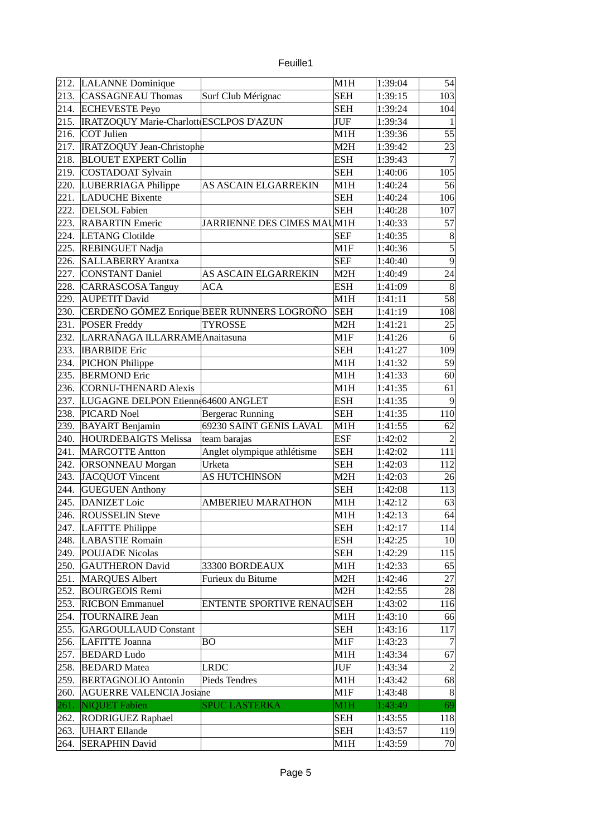|      | 212. LALANNE Dominique                  |                                            | M1H              | 1:39:04 | 54               |
|------|-----------------------------------------|--------------------------------------------|------------------|---------|------------------|
| 213. | <b>CASSAGNEAU Thomas</b>                | Surf Club Mérignac                         | <b>SEH</b>       | 1:39:15 | 103              |
| 214. | <b>ECHEVESTE Peyo</b>                   |                                            | <b>SEH</b>       | 1:39:24 | 104              |
| 215. | IRATZOQUY Marie-Charlott ESCLPOS D'AZUN |                                            | <b>JUF</b>       | 1:39:34 | 1                |
| 216. | COT Julien                              |                                            | M1H              | 1:39:36 | 55               |
| 217. | IRATZOQUY Jean-Christophe               |                                            | M <sub>2</sub> H | 1:39:42 | 23               |
| 218. | <b>BLOUET EXPERT Collin</b>             |                                            | <b>ESH</b>       | 1:39:43 | $\overline{7}$   |
| 219. | COSTADOAT Sylvain                       |                                            | <b>SEH</b>       | 1:40:06 | 105              |
| 220. | LUBERRIAGA Philippe                     | <b>AS ASCAIN ELGARREKIN</b>                | M1H              | 1:40:24 | 56               |
| 221. | <b>LADUCHE Bixente</b>                  |                                            | <b>SEH</b>       | 1:40:24 | 106              |
| 222. | <b>DELSOL Fabien</b>                    |                                            | <b>SEH</b>       | 1:40:28 | 107              |
| 223. | <b>RABARTIN Emeric</b>                  | JARRIENNE DES CIMES MAUM1H                 |                  | 1:40:33 | 57               |
| 224. | <b>LETANG Clotilde</b>                  |                                            | <b>SEF</b>       | 1:40:35 | $\boldsymbol{8}$ |
| 225. | <b>REBINGUET Nadja</b>                  |                                            | M1F              | 1:40:36 | $\overline{5}$   |
| 226. | <b>SALLABERRY Arantxa</b>               |                                            | <b>SEF</b>       | 1:40:40 | $\overline{9}$   |
| 227. | <b>CONSTANT Daniel</b>                  | AS ASCAIN ELGARREKIN                       | M <sub>2</sub> H | 1:40:49 | 24               |
| 228. | CARRASCOSA Tanguy                       | ACA                                        | <b>ESH</b>       | 1:41:09 | $\boldsymbol{8}$ |
| 229. | <b>AUPETIT David</b>                    |                                            | M1H              | 1:41:11 | 58               |
| 230. |                                         | CERDEÑO GÓMEZ Enrique BEER RUNNERS LOGROÑO | <b>SEH</b>       | 1:41:19 | 108              |
| 231. | <b>POSER Freddy</b>                     | <b>TYROSSE</b>                             | M <sub>2</sub> H | 1:41:21 | 25               |
| 232. | LARRAÑAGA ILLARRAME Anaitasuna          |                                            | M1F              | 1:41:26 | $6 \overline{6}$ |
| 233. | <b>IBARBIDE</b> Eric                    |                                            | <b>SEH</b>       | 1:41:27 | 109              |
| 234. | PICHON Philippe                         |                                            | M1H              | 1:41:32 | 59               |
| 235. | <b>BERMOND Eric</b>                     |                                            | M1H              | 1:41:33 | 60               |
| 236. | <b>CORNU-THENARD Alexis</b>             |                                            | M1H              | 1:41:35 | 61               |
| 237. | LUGAGNE DELPON Etienn(64600 ANGLET      |                                            | <b>ESH</b>       | 1:41:35 | $\overline{9}$   |
| 238. | PICARD Noel                             | Bergerac Running                           | <b>SEH</b>       | 1:41:35 | 110              |
| 239. | <b>BAYART</b> Benjamin                  | 69230 SAINT GENIS LAVAL                    | M1H              | 1:41:55 | 62               |
| 240. | <b>HOURDEBAIGTS Melissa</b>             | team barajas                               | <b>ESF</b>       | 1:42:02 | $\overline{2}$   |
| 241. | <b>MARCOTTE Antton</b>                  | Anglet olympique athlétisme                | <b>SEH</b>       | 1:42:02 | 111              |
| 242. | <b>ORSONNEAU Morgan</b>                 | Urketa                                     | <b>SEH</b>       | 1:42:03 | 112              |
| 243. | JACQUOT Vincent                         | <b>AS HUTCHINSON</b>                       | M2H              | 1:42:03 | 26               |
| 244. | <b>GUEGUEN Anthony</b>                  |                                            | <b>SEH</b>       | 1:42:08 | 113              |
| 245. | DANIZET Loic                            | <b>AMBERIEU MARATHON</b>                   |                  |         | 63               |
| 246. | <b>ROUSSELIN Steve</b>                  |                                            | M1H              | 1:42:12 | 64               |
|      |                                         |                                            | M1H              | 1:42:13 |                  |
| 247. | LAFITTE Philippe                        |                                            | <b>SEH</b>       | 1:42:17 | 114              |
| 248. | <b>LABASTIE Romain</b>                  |                                            | <b>ESH</b>       | 1:42:25 | 10 <sup>1</sup>  |
| 249. | <b>POUJADE Nicolas</b>                  |                                            | SEH              | 1:42:29 | 115              |
| 250. | <b>GAUTHERON David</b>                  | 33300 BORDEAUX                             | M1H              | 1:42:33 | 65               |
| 251. | <b>MARQUES Albert</b>                   | Furieux du Bitume                          | M2H              | 1:42:46 | 27               |
| 252. | <b>BOURGEOIS Remi</b>                   |                                            | M2H              | 1:42:55 | 28               |
| 253. | <b>RICBON Emmanuel</b>                  | <b>ENTENTE SPORTIVE RENAUSEH</b>           |                  | 1:43:02 | 116              |
| 254. | <b>TOURNAIRE Jean</b>                   |                                            | M1H              | 1:43:10 | 66               |
| 255. | <b>GARGOULLAUD Constant</b>             |                                            | <b>SEH</b>       | 1:43:16 | 117              |
| 256. | LAFITTE Joanna                          | ΒO                                         | M1F              | 1:43:23 | 7                |
| 257. | <b>BEDARD Ludo</b>                      |                                            | M1H              | 1:43:34 | 67               |
| 258. | <b>BEDARD</b> Matea                     | LRDC                                       | JUF              | 1:43:34 | $\overline{2}$   |
| 259. | <b>BERTAGNOLIO Antonin</b>              | Pieds Tendres                              | M1H              | 1:43:42 | 68               |
| 260. | <b>AGUERRE VALENCIA Josiane</b>         |                                            | M1F              | 1:43:48 | 8                |
| 261. | NIQUET Fabien                           | <b>SPUC LASTERKA</b>                       | M1H              | 1:43:49 | 69               |
| 262. | RODRIGUEZ Raphael                       |                                            | <b>SEH</b>       | 1:43:55 | 118              |
| 263. | <b>UHART Ellande</b>                    |                                            | <b>SEH</b>       | 1:43:57 | 119              |
| 264. | <b>SERAPHIN David</b>                   |                                            | M1H              | 1:43:59 | 70               |

Feuille1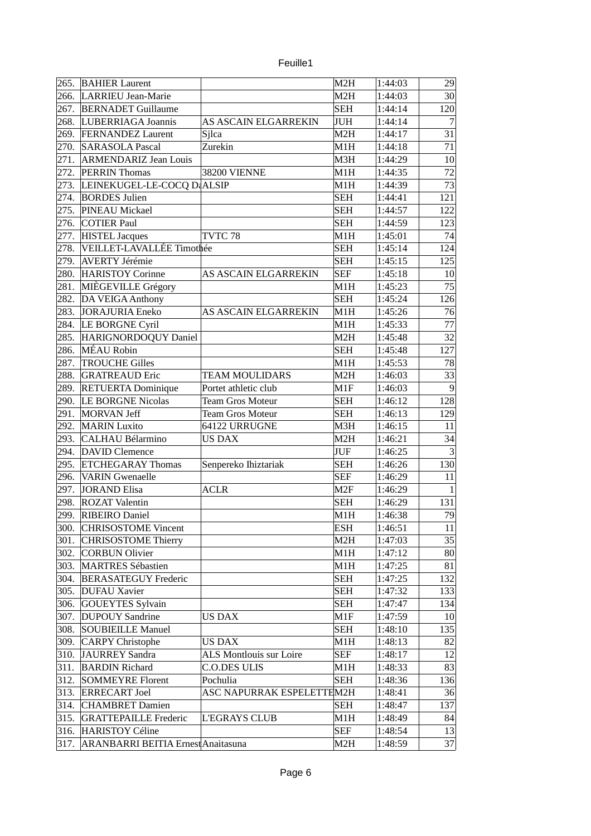| euille |  |
|--------|--|
|        |  |

| 265. | <b>BAHIER Laurent</b>              |                           | M <sub>2</sub> H  | 1:44:03 | 29              |
|------|------------------------------------|---------------------------|-------------------|---------|-----------------|
| 266. | LARRIEU Jean-Marie                 |                           | M <sub>2</sub> H  | 1:44:03 | 30 <sup>2</sup> |
| 267. | <b>BERNADET Guillaume</b>          |                           | <b>SEH</b>        | 1:44:14 | 120             |
| 268. | LUBERRIAGA Joannis                 | AS ASCAIN ELGARREKIN      | JUH               | 1:44:14 | $\overline{7}$  |
| 269. | <b>FERNANDEZ Laurent</b>           | Sjlca                     | M2H               | 1:44:17 | 31              |
| 270. | <b>SARASOLA Pascal</b>             | Zurekin                   | M1H               | 1:44:18 | $71\,$          |
| 271. | <b>ARMENDARIZ Jean Louis</b>       |                           | M3H               | 1:44:29 | 10              |
| 272. | <b>PERRIN Thomas</b>               | <b>38200 VIENNE</b>       | M1H               | 1:44:35 | 72              |
| 273. | LEINEKUGEL-LE-COCQ DALSIP          |                           | M1H               | 1:44:39 | 73              |
| 274. | <b>BORDES Julien</b>               |                           | <b>SEH</b>        | 1:44:41 | 121             |
| 275. | PINEAU Mickael                     |                           | <b>SEH</b>        | 1:44:57 | 122             |
| 276. | COTIER Paul                        |                           | <b>SEH</b>        | 1:44:59 | 123             |
| 277. | <b>HISTEL Jacques</b>              | TVTC <sub>78</sub>        | M1H               | 1:45:01 | 74              |
| 278. | VEILLET-LAVALLÉE Timothée          |                           | <b>SEH</b>        | 1:45:14 | 124             |
| 279. | <b>AVERTY Jérémie</b>              |                           | <b>SEH</b>        | 1:45:15 | 125             |
| 280. | <b>HARISTOY Corinne</b>            | AS ASCAIN ELGARREKIN      | <b>SEF</b>        | 1:45:18 | 10 <sup>1</sup> |
| 281. | MIÈGEVILLE Grégory                 |                           | M <sub>1</sub> H  | 1:45:23 | 75              |
| 282. | DA VEIGA Anthony                   |                           | <b>SEH</b>        | 1:45:24 | 126             |
| 283. | JORAJURIA Eneko                    | AS ASCAIN ELGARREKIN      | M1H               | 1:45:26 | 76              |
| 284. |                                    |                           | M1H               | 1:45:33 | 77              |
| 285. | LE BORGNE Cyril                    |                           | M <sub>2</sub> H  |         | 32              |
|      | HARIGNORDOQUY Daniel<br>MÉAU Robin |                           |                   | 1:45:48 |                 |
| 286. | <b>TROUCHE Gilles</b>              |                           | <b>SEH</b><br>M1H | 1:45:48 | 127             |
| 287. |                                    |                           |                   | 1:45:53 | 78              |
| 288. | <b>GRATREAUD Eric</b>              | <b>TEAM MOULIDARS</b>     | M2H               | 1:46:03 | 33              |
| 289. | <b>RETUERTA Dominique</b>          | Portet athletic club      | M1F               | 1:46:03 | $\overline{9}$  |
| 290. | <b>LE BORGNE Nicolas</b>           | <b>Team Gros Moteur</b>   | <b>SEH</b>        | 1:46:12 | 128             |
| 291. | <b>MORVAN Jeff</b>                 | <b>Team Gros Moteur</b>   | <b>SEH</b>        | 1:46:13 | 129             |
| 292. | <b>MARIN</b> Luxito                | 64122 URRUGNE             | M3H               | 1:46:15 | 11              |
| 293. | <b>CALHAU Bélarmino</b>            | US DAX                    | M2H               | 1:46:21 | 34              |
| 294. | <b>DAVID Clemence</b>              |                           | JUF               | 1:46:25 | 3               |
| 295. | <b>ETCHEGARAY Thomas</b>           | Senpereko Ihiztariak      | <b>SEH</b>        | 1:46:26 | 130             |
| 296. | <b>VARIN</b> Gwenaelle             |                           | <b>SEF</b>        | 1:46:29 | 11              |
| 297. | JORAND Elisa                       | <b>ACLR</b>               | M2F               | 1:46:29 | $\mathbf{1}$    |
| 298. | <b>ROZAT Valentin</b>              |                           | <b>SEH</b>        | 1:46:29 | 131             |
| 299. | <b>RIBEIRO Daniel</b>              |                           | M1H               | 1:46:38 | 79              |
| 300. | <b>CHRISOSTOME Vincent</b>         |                           | ESH               | 1:46:51 | 11              |
| 301. | <b>CHRISOSTOME Thierry</b>         |                           | M2H               | 1:47:03 | 35              |
| 302. | <b>CORBUN Olivier</b>              |                           | M1H               | 1:47:12 | 80              |
| 303. | <b>MARTRES Sébastien</b>           |                           | M1H               | 1:47:25 | 81              |
| 304. | <b>BERASATEGUY Frederic</b>        |                           | <b>SEH</b>        | 1:47:25 | 132             |
| 305. | <b>DUFAU Xavier</b>                |                           | <b>SEH</b>        | 1:47:32 | 133             |
| 306. | GOUEYTES Sylvain                   |                           | <b>SEH</b>        | 1:47:47 | 134             |
| 307. | <b>DUPOUY Sandrine</b>             | US DAX                    | $\vert$ M1F       | 1:47:59 | 10 <sup>°</sup> |
| 308. | <b>SOUBIEILLE Manuel</b>           |                           | <b>SEH</b>        | 1:48:10 | 135             |
| 309. | <b>CARPY Christophe</b>            | US DAX                    | M1H               | 1:48:13 | 82              |
| 310. | JAURREY Sandra                     | ALS Montlouis sur Loire   | <b>SEF</b>        | 1:48:17 | 12              |
| 311. | <b>BARDIN Richard</b>              | C.O.DES ULIS              | M1H               | 1:48:33 | 83              |
| 312. | <b>SOMMEYRE Florent</b>            | Pochulia                  | <b>SEH</b>        | 1:48:36 | 136             |
| 313. | <b>ERRECART Joel</b>               | ASC NAPURRAK ESPELETTEM2H |                   | 1:48:41 | 36              |
| 314. | <b>CHAMBRET Damien</b>             |                           | <b>SEH</b>        | 1:48:47 | 137             |
| 315. | <b>GRATTEPAILLE Frederic</b>       | <b>L'EGRAYS CLUB</b>      | M1H               | 1:48:49 | 84              |
| 316. | <b>HARISTOY Céline</b>             |                           | <b>SEF</b>        | 1:48:54 | 13              |
| 317. | ARANBARRI BEITIA Ernest Anaitasuna |                           | M2H               | 1:48:59 | 37              |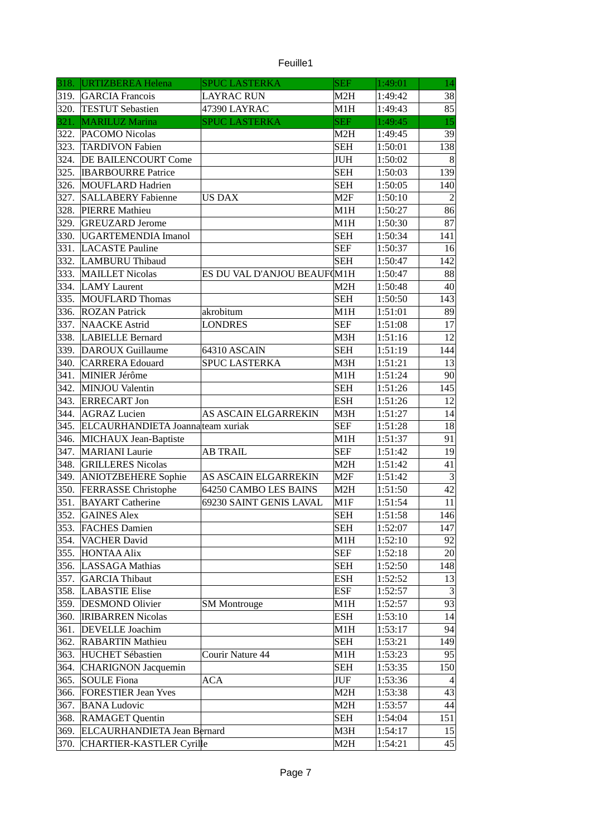| euille |  |
|--------|--|

| M2H<br>38<br>319.<br><b>GARCIA</b> Francois<br><b>LAYRAC RUN</b><br>1:49:42<br>85<br>320.<br><b>TESTUT Sebastien</b><br>M1H<br>47390 LAYRAC<br>1:49:43<br><b>SEF</b><br>15<br>321.<br>MARILUZ Marina<br><b>SPUC LASTERKA</b><br>1:49:45<br>39<br>322.<br>PACOMO Nicolas<br>M <sub>2</sub> H<br>1:49:45<br>138<br>323.<br><b>TARDIVON Fabien</b><br><b>SEH</b><br>1:50:01<br>324.<br><b>DE BAILENCOURT Come</b><br>JUH<br>1:50:02<br>$\boldsymbol{8}$<br>325.<br><b>SEH</b><br>139<br><b>IBARBOURRE Patrice</b><br>1:50:03<br>326.<br>MOUFLARD Hadrien<br><b>SEH</b><br>1:50:05<br>140<br>$\overline{2}$<br>327.<br>M <sub>2F</sub><br><b>SALLABERY Fabienne</b><br><b>US DAX</b><br>1:50:10<br>328.<br>86<br>PIERRE Mathieu<br>M1H<br>1:50:27<br>329.<br>87<br><b>GREUZARD Jerome</b><br>M1H<br>1:50:30<br><b>SEH</b><br>330.<br>UGARTEMENDIA Imanol<br>1:50:34<br>141<br>331.<br><b>SEF</b><br><b>LACASTE Pauline</b><br>1:50:37<br>16<br>332.<br><b>SEH</b><br>142<br>LAMBURU Thibaud<br>1:50:47<br>333.<br>ES DU VAL D'ANJOU BEAUF(M1H<br><b>MAILLET Nicolas</b><br>1:50:47<br>88<br>334.<br><b>LAMY Laurent</b><br>M2H<br>40 <sup>°</sup><br>1:50:48<br>335.<br>MOUFLARD Thomas<br><b>SEH</b><br>143<br>1:50:50<br>336.<br>89<br><b>ROZAN Patrick</b><br>akrobitum<br>M1H<br>1:51:01<br><b>SEF</b><br>337.<br><b>NAACKE</b> Astrid<br><b>LONDRES</b><br>1:51:08<br>17<br>12<br>338.<br><b>LABIELLE Bernard</b><br>M3H<br>1:51:16<br>339.<br>DAROUX Guillaume<br>64310 ASCAIN<br><b>SEH</b><br>1:51:19<br>144<br>340.<br><b>CARRERA Edouard</b><br><b>SPUC LASTERKA</b><br>M3H<br>13<br>1:51:21<br>341.<br>MINIER Jérôme<br>M1H<br>1:51:24<br>90 <sup>°</sup><br>342.<br><b>SEH</b><br>145<br>MINJOU Valentin<br>1:51:26<br>343.<br><b>ESH</b><br>12<br><b>ERRECART Jon</b><br>1:51:26<br>344.<br><b>AGRAZ Lucien</b><br><b>AS ASCAIN ELGARREKIN</b><br>M3H<br>1:51:27<br>14<br>345.<br>ELCAURHANDIETA Joanna team xuriak<br><b>SEF</b><br>1:51:28<br>18<br>91<br>346.<br>MICHAUX Jean-Baptiste<br>M1H<br>1:51:37<br>347.<br><b>SEF</b><br><b>MARIANI</b> Laurie<br><b>AB TRAIL</b><br>19<br>1:51:42<br>348.<br>41<br>M <sub>2</sub> H<br><b>GRILLERES Nicolas</b><br>1:51:42<br>349.<br><b>ANIOTZBEHERE</b> Sophie<br>$\mathbf{3}$<br><b>AS ASCAIN ELGARREKIN</b><br>M2F<br>1:51:42<br>42<br>350.<br><b>FERRASSE Christophe</b><br>64250 CAMBO LES BAINS<br>M <sub>2</sub> H<br>1:51:50<br>351.<br>11<br><b>BAYART</b> Catherine<br>69230 SAINT GENIS LAVAL<br>M1F<br>1:51:54<br>146<br>352.<br><b>SEH</b><br><b>GAINES Alex</b><br>1:51:58<br><b>FACHES Damien</b><br><b>SEH</b><br>1:52:07<br>147<br>353.<br>M1H<br>354.<br><b>VACHER David</b><br>1:52:10<br>92<br>355.<br>SEF<br><b>HONTAA Alix</b><br>1:52:18<br>20 <sup>1</sup><br>356.<br>LASSAGA Mathias<br><b>SEH</b><br>1:52:50<br>148<br>357.<br><b>ESH</b><br><b>GARCIA Thibaut</b><br>1:52:52<br>13<br>$\overline{3}$<br>358.<br><b>LABASTIE Elise</b><br>ESF<br>1:52:57<br>359.<br>93<br><b>DESMOND Olivier</b><br>M1H<br><b>SM Montrouge</b><br>1:52:57<br>ESH<br>360.<br><b>IRIBARREN Nicolas</b><br>1:53:10<br>14<br>361.<br>94<br><b>DEVELLE</b> Joachim<br>M1H<br>1:53:17<br><b>SEH</b><br>362.<br><b>RABARTIN Mathieu</b><br>1:53:21<br>149<br>363.<br><b>HUCHET Sébastien</b><br>Courir Nature 44<br>M1H<br>1:53:23<br>95<br>364.<br>CHARIGNON Jacquemin<br><b>SEH</b><br>1:53:35<br>150<br>365.<br>SOULE Fiona<br>JUF<br>ACA<br>1:53:36<br>$\overline{4}$<br>366.<br><b>FORESTIER Jean Yves</b><br>M2H<br>1:53:38<br>43<br>M2H<br> 44 <br>367.<br><b>BANA Ludovic</b><br>1:53:57<br>368.<br><b>RAMAGET Quentin</b><br><b>SEH</b><br>1:54:04<br>151<br>369.<br>ELCAURHANDIETA Jean Bernard<br>M3H<br>1:54:17<br>15 |      | 318. URTIZBEREA Helena   | <b>SPUC LASTERKA</b> | <b>SEF</b> | 1:49:01 | 14 |
|---------------------------------------------------------------------------------------------------------------------------------------------------------------------------------------------------------------------------------------------------------------------------------------------------------------------------------------------------------------------------------------------------------------------------------------------------------------------------------------------------------------------------------------------------------------------------------------------------------------------------------------------------------------------------------------------------------------------------------------------------------------------------------------------------------------------------------------------------------------------------------------------------------------------------------------------------------------------------------------------------------------------------------------------------------------------------------------------------------------------------------------------------------------------------------------------------------------------------------------------------------------------------------------------------------------------------------------------------------------------------------------------------------------------------------------------------------------------------------------------------------------------------------------------------------------------------------------------------------------------------------------------------------------------------------------------------------------------------------------------------------------------------------------------------------------------------------------------------------------------------------------------------------------------------------------------------------------------------------------------------------------------------------------------------------------------------------------------------------------------------------------------------------------------------------------------------------------------------------------------------------------------------------------------------------------------------------------------------------------------------------------------------------------------------------------------------------------------------------------------------------------------------------------------------------------------------------------------------------------------------------------------------------------------------------------------------------------------------------------------------------------------------------------------------------------------------------------------------------------------------------------------------------------------------------------------------------------------------------------------------------------------------------------------------------------------------------------------------------------------------------------------------------------------------------------------------------------------------------------------------------------------------------------------------------------------------------------------------------------------------------------------------------------------------------------------------------------------------------------------------------------------------------------------------------------------------------------------------------------------------------------------------------------------------------------------|------|--------------------------|----------------------|------------|---------|----|
|                                                                                                                                                                                                                                                                                                                                                                                                                                                                                                                                                                                                                                                                                                                                                                                                                                                                                                                                                                                                                                                                                                                                                                                                                                                                                                                                                                                                                                                                                                                                                                                                                                                                                                                                                                                                                                                                                                                                                                                                                                                                                                                                                                                                                                                                                                                                                                                                                                                                                                                                                                                                                                                                                                                                                                                                                                                                                                                                                                                                                                                                                                                                                                                                                                                                                                                                                                                                                                                                                                                                                                                                                                                                                             |      |                          |                      |            |         |    |
|                                                                                                                                                                                                                                                                                                                                                                                                                                                                                                                                                                                                                                                                                                                                                                                                                                                                                                                                                                                                                                                                                                                                                                                                                                                                                                                                                                                                                                                                                                                                                                                                                                                                                                                                                                                                                                                                                                                                                                                                                                                                                                                                                                                                                                                                                                                                                                                                                                                                                                                                                                                                                                                                                                                                                                                                                                                                                                                                                                                                                                                                                                                                                                                                                                                                                                                                                                                                                                                                                                                                                                                                                                                                                             |      |                          |                      |            |         |    |
|                                                                                                                                                                                                                                                                                                                                                                                                                                                                                                                                                                                                                                                                                                                                                                                                                                                                                                                                                                                                                                                                                                                                                                                                                                                                                                                                                                                                                                                                                                                                                                                                                                                                                                                                                                                                                                                                                                                                                                                                                                                                                                                                                                                                                                                                                                                                                                                                                                                                                                                                                                                                                                                                                                                                                                                                                                                                                                                                                                                                                                                                                                                                                                                                                                                                                                                                                                                                                                                                                                                                                                                                                                                                                             |      |                          |                      |            |         |    |
|                                                                                                                                                                                                                                                                                                                                                                                                                                                                                                                                                                                                                                                                                                                                                                                                                                                                                                                                                                                                                                                                                                                                                                                                                                                                                                                                                                                                                                                                                                                                                                                                                                                                                                                                                                                                                                                                                                                                                                                                                                                                                                                                                                                                                                                                                                                                                                                                                                                                                                                                                                                                                                                                                                                                                                                                                                                                                                                                                                                                                                                                                                                                                                                                                                                                                                                                                                                                                                                                                                                                                                                                                                                                                             |      |                          |                      |            |         |    |
|                                                                                                                                                                                                                                                                                                                                                                                                                                                                                                                                                                                                                                                                                                                                                                                                                                                                                                                                                                                                                                                                                                                                                                                                                                                                                                                                                                                                                                                                                                                                                                                                                                                                                                                                                                                                                                                                                                                                                                                                                                                                                                                                                                                                                                                                                                                                                                                                                                                                                                                                                                                                                                                                                                                                                                                                                                                                                                                                                                                                                                                                                                                                                                                                                                                                                                                                                                                                                                                                                                                                                                                                                                                                                             |      |                          |                      |            |         |    |
|                                                                                                                                                                                                                                                                                                                                                                                                                                                                                                                                                                                                                                                                                                                                                                                                                                                                                                                                                                                                                                                                                                                                                                                                                                                                                                                                                                                                                                                                                                                                                                                                                                                                                                                                                                                                                                                                                                                                                                                                                                                                                                                                                                                                                                                                                                                                                                                                                                                                                                                                                                                                                                                                                                                                                                                                                                                                                                                                                                                                                                                                                                                                                                                                                                                                                                                                                                                                                                                                                                                                                                                                                                                                                             |      |                          |                      |            |         |    |
|                                                                                                                                                                                                                                                                                                                                                                                                                                                                                                                                                                                                                                                                                                                                                                                                                                                                                                                                                                                                                                                                                                                                                                                                                                                                                                                                                                                                                                                                                                                                                                                                                                                                                                                                                                                                                                                                                                                                                                                                                                                                                                                                                                                                                                                                                                                                                                                                                                                                                                                                                                                                                                                                                                                                                                                                                                                                                                                                                                                                                                                                                                                                                                                                                                                                                                                                                                                                                                                                                                                                                                                                                                                                                             |      |                          |                      |            |         |    |
|                                                                                                                                                                                                                                                                                                                                                                                                                                                                                                                                                                                                                                                                                                                                                                                                                                                                                                                                                                                                                                                                                                                                                                                                                                                                                                                                                                                                                                                                                                                                                                                                                                                                                                                                                                                                                                                                                                                                                                                                                                                                                                                                                                                                                                                                                                                                                                                                                                                                                                                                                                                                                                                                                                                                                                                                                                                                                                                                                                                                                                                                                                                                                                                                                                                                                                                                                                                                                                                                                                                                                                                                                                                                                             |      |                          |                      |            |         |    |
|                                                                                                                                                                                                                                                                                                                                                                                                                                                                                                                                                                                                                                                                                                                                                                                                                                                                                                                                                                                                                                                                                                                                                                                                                                                                                                                                                                                                                                                                                                                                                                                                                                                                                                                                                                                                                                                                                                                                                                                                                                                                                                                                                                                                                                                                                                                                                                                                                                                                                                                                                                                                                                                                                                                                                                                                                                                                                                                                                                                                                                                                                                                                                                                                                                                                                                                                                                                                                                                                                                                                                                                                                                                                                             |      |                          |                      |            |         |    |
|                                                                                                                                                                                                                                                                                                                                                                                                                                                                                                                                                                                                                                                                                                                                                                                                                                                                                                                                                                                                                                                                                                                                                                                                                                                                                                                                                                                                                                                                                                                                                                                                                                                                                                                                                                                                                                                                                                                                                                                                                                                                                                                                                                                                                                                                                                                                                                                                                                                                                                                                                                                                                                                                                                                                                                                                                                                                                                                                                                                                                                                                                                                                                                                                                                                                                                                                                                                                                                                                                                                                                                                                                                                                                             |      |                          |                      |            |         |    |
|                                                                                                                                                                                                                                                                                                                                                                                                                                                                                                                                                                                                                                                                                                                                                                                                                                                                                                                                                                                                                                                                                                                                                                                                                                                                                                                                                                                                                                                                                                                                                                                                                                                                                                                                                                                                                                                                                                                                                                                                                                                                                                                                                                                                                                                                                                                                                                                                                                                                                                                                                                                                                                                                                                                                                                                                                                                                                                                                                                                                                                                                                                                                                                                                                                                                                                                                                                                                                                                                                                                                                                                                                                                                                             |      |                          |                      |            |         |    |
|                                                                                                                                                                                                                                                                                                                                                                                                                                                                                                                                                                                                                                                                                                                                                                                                                                                                                                                                                                                                                                                                                                                                                                                                                                                                                                                                                                                                                                                                                                                                                                                                                                                                                                                                                                                                                                                                                                                                                                                                                                                                                                                                                                                                                                                                                                                                                                                                                                                                                                                                                                                                                                                                                                                                                                                                                                                                                                                                                                                                                                                                                                                                                                                                                                                                                                                                                                                                                                                                                                                                                                                                                                                                                             |      |                          |                      |            |         |    |
|                                                                                                                                                                                                                                                                                                                                                                                                                                                                                                                                                                                                                                                                                                                                                                                                                                                                                                                                                                                                                                                                                                                                                                                                                                                                                                                                                                                                                                                                                                                                                                                                                                                                                                                                                                                                                                                                                                                                                                                                                                                                                                                                                                                                                                                                                                                                                                                                                                                                                                                                                                                                                                                                                                                                                                                                                                                                                                                                                                                                                                                                                                                                                                                                                                                                                                                                                                                                                                                                                                                                                                                                                                                                                             |      |                          |                      |            |         |    |
|                                                                                                                                                                                                                                                                                                                                                                                                                                                                                                                                                                                                                                                                                                                                                                                                                                                                                                                                                                                                                                                                                                                                                                                                                                                                                                                                                                                                                                                                                                                                                                                                                                                                                                                                                                                                                                                                                                                                                                                                                                                                                                                                                                                                                                                                                                                                                                                                                                                                                                                                                                                                                                                                                                                                                                                                                                                                                                                                                                                                                                                                                                                                                                                                                                                                                                                                                                                                                                                                                                                                                                                                                                                                                             |      |                          |                      |            |         |    |
|                                                                                                                                                                                                                                                                                                                                                                                                                                                                                                                                                                                                                                                                                                                                                                                                                                                                                                                                                                                                                                                                                                                                                                                                                                                                                                                                                                                                                                                                                                                                                                                                                                                                                                                                                                                                                                                                                                                                                                                                                                                                                                                                                                                                                                                                                                                                                                                                                                                                                                                                                                                                                                                                                                                                                                                                                                                                                                                                                                                                                                                                                                                                                                                                                                                                                                                                                                                                                                                                                                                                                                                                                                                                                             |      |                          |                      |            |         |    |
|                                                                                                                                                                                                                                                                                                                                                                                                                                                                                                                                                                                                                                                                                                                                                                                                                                                                                                                                                                                                                                                                                                                                                                                                                                                                                                                                                                                                                                                                                                                                                                                                                                                                                                                                                                                                                                                                                                                                                                                                                                                                                                                                                                                                                                                                                                                                                                                                                                                                                                                                                                                                                                                                                                                                                                                                                                                                                                                                                                                                                                                                                                                                                                                                                                                                                                                                                                                                                                                                                                                                                                                                                                                                                             |      |                          |                      |            |         |    |
|                                                                                                                                                                                                                                                                                                                                                                                                                                                                                                                                                                                                                                                                                                                                                                                                                                                                                                                                                                                                                                                                                                                                                                                                                                                                                                                                                                                                                                                                                                                                                                                                                                                                                                                                                                                                                                                                                                                                                                                                                                                                                                                                                                                                                                                                                                                                                                                                                                                                                                                                                                                                                                                                                                                                                                                                                                                                                                                                                                                                                                                                                                                                                                                                                                                                                                                                                                                                                                                                                                                                                                                                                                                                                             |      |                          |                      |            |         |    |
|                                                                                                                                                                                                                                                                                                                                                                                                                                                                                                                                                                                                                                                                                                                                                                                                                                                                                                                                                                                                                                                                                                                                                                                                                                                                                                                                                                                                                                                                                                                                                                                                                                                                                                                                                                                                                                                                                                                                                                                                                                                                                                                                                                                                                                                                                                                                                                                                                                                                                                                                                                                                                                                                                                                                                                                                                                                                                                                                                                                                                                                                                                                                                                                                                                                                                                                                                                                                                                                                                                                                                                                                                                                                                             |      |                          |                      |            |         |    |
|                                                                                                                                                                                                                                                                                                                                                                                                                                                                                                                                                                                                                                                                                                                                                                                                                                                                                                                                                                                                                                                                                                                                                                                                                                                                                                                                                                                                                                                                                                                                                                                                                                                                                                                                                                                                                                                                                                                                                                                                                                                                                                                                                                                                                                                                                                                                                                                                                                                                                                                                                                                                                                                                                                                                                                                                                                                                                                                                                                                                                                                                                                                                                                                                                                                                                                                                                                                                                                                                                                                                                                                                                                                                                             |      |                          |                      |            |         |    |
|                                                                                                                                                                                                                                                                                                                                                                                                                                                                                                                                                                                                                                                                                                                                                                                                                                                                                                                                                                                                                                                                                                                                                                                                                                                                                                                                                                                                                                                                                                                                                                                                                                                                                                                                                                                                                                                                                                                                                                                                                                                                                                                                                                                                                                                                                                                                                                                                                                                                                                                                                                                                                                                                                                                                                                                                                                                                                                                                                                                                                                                                                                                                                                                                                                                                                                                                                                                                                                                                                                                                                                                                                                                                                             |      |                          |                      |            |         |    |
|                                                                                                                                                                                                                                                                                                                                                                                                                                                                                                                                                                                                                                                                                                                                                                                                                                                                                                                                                                                                                                                                                                                                                                                                                                                                                                                                                                                                                                                                                                                                                                                                                                                                                                                                                                                                                                                                                                                                                                                                                                                                                                                                                                                                                                                                                                                                                                                                                                                                                                                                                                                                                                                                                                                                                                                                                                                                                                                                                                                                                                                                                                                                                                                                                                                                                                                                                                                                                                                                                                                                                                                                                                                                                             |      |                          |                      |            |         |    |
|                                                                                                                                                                                                                                                                                                                                                                                                                                                                                                                                                                                                                                                                                                                                                                                                                                                                                                                                                                                                                                                                                                                                                                                                                                                                                                                                                                                                                                                                                                                                                                                                                                                                                                                                                                                                                                                                                                                                                                                                                                                                                                                                                                                                                                                                                                                                                                                                                                                                                                                                                                                                                                                                                                                                                                                                                                                                                                                                                                                                                                                                                                                                                                                                                                                                                                                                                                                                                                                                                                                                                                                                                                                                                             |      |                          |                      |            |         |    |
|                                                                                                                                                                                                                                                                                                                                                                                                                                                                                                                                                                                                                                                                                                                                                                                                                                                                                                                                                                                                                                                                                                                                                                                                                                                                                                                                                                                                                                                                                                                                                                                                                                                                                                                                                                                                                                                                                                                                                                                                                                                                                                                                                                                                                                                                                                                                                                                                                                                                                                                                                                                                                                                                                                                                                                                                                                                                                                                                                                                                                                                                                                                                                                                                                                                                                                                                                                                                                                                                                                                                                                                                                                                                                             |      |                          |                      |            |         |    |
|                                                                                                                                                                                                                                                                                                                                                                                                                                                                                                                                                                                                                                                                                                                                                                                                                                                                                                                                                                                                                                                                                                                                                                                                                                                                                                                                                                                                                                                                                                                                                                                                                                                                                                                                                                                                                                                                                                                                                                                                                                                                                                                                                                                                                                                                                                                                                                                                                                                                                                                                                                                                                                                                                                                                                                                                                                                                                                                                                                                                                                                                                                                                                                                                                                                                                                                                                                                                                                                                                                                                                                                                                                                                                             |      |                          |                      |            |         |    |
|                                                                                                                                                                                                                                                                                                                                                                                                                                                                                                                                                                                                                                                                                                                                                                                                                                                                                                                                                                                                                                                                                                                                                                                                                                                                                                                                                                                                                                                                                                                                                                                                                                                                                                                                                                                                                                                                                                                                                                                                                                                                                                                                                                                                                                                                                                                                                                                                                                                                                                                                                                                                                                                                                                                                                                                                                                                                                                                                                                                                                                                                                                                                                                                                                                                                                                                                                                                                                                                                                                                                                                                                                                                                                             |      |                          |                      |            |         |    |
|                                                                                                                                                                                                                                                                                                                                                                                                                                                                                                                                                                                                                                                                                                                                                                                                                                                                                                                                                                                                                                                                                                                                                                                                                                                                                                                                                                                                                                                                                                                                                                                                                                                                                                                                                                                                                                                                                                                                                                                                                                                                                                                                                                                                                                                                                                                                                                                                                                                                                                                                                                                                                                                                                                                                                                                                                                                                                                                                                                                                                                                                                                                                                                                                                                                                                                                                                                                                                                                                                                                                                                                                                                                                                             |      |                          |                      |            |         |    |
|                                                                                                                                                                                                                                                                                                                                                                                                                                                                                                                                                                                                                                                                                                                                                                                                                                                                                                                                                                                                                                                                                                                                                                                                                                                                                                                                                                                                                                                                                                                                                                                                                                                                                                                                                                                                                                                                                                                                                                                                                                                                                                                                                                                                                                                                                                                                                                                                                                                                                                                                                                                                                                                                                                                                                                                                                                                                                                                                                                                                                                                                                                                                                                                                                                                                                                                                                                                                                                                                                                                                                                                                                                                                                             |      |                          |                      |            |         |    |
|                                                                                                                                                                                                                                                                                                                                                                                                                                                                                                                                                                                                                                                                                                                                                                                                                                                                                                                                                                                                                                                                                                                                                                                                                                                                                                                                                                                                                                                                                                                                                                                                                                                                                                                                                                                                                                                                                                                                                                                                                                                                                                                                                                                                                                                                                                                                                                                                                                                                                                                                                                                                                                                                                                                                                                                                                                                                                                                                                                                                                                                                                                                                                                                                                                                                                                                                                                                                                                                                                                                                                                                                                                                                                             |      |                          |                      |            |         |    |
|                                                                                                                                                                                                                                                                                                                                                                                                                                                                                                                                                                                                                                                                                                                                                                                                                                                                                                                                                                                                                                                                                                                                                                                                                                                                                                                                                                                                                                                                                                                                                                                                                                                                                                                                                                                                                                                                                                                                                                                                                                                                                                                                                                                                                                                                                                                                                                                                                                                                                                                                                                                                                                                                                                                                                                                                                                                                                                                                                                                                                                                                                                                                                                                                                                                                                                                                                                                                                                                                                                                                                                                                                                                                                             |      |                          |                      |            |         |    |
|                                                                                                                                                                                                                                                                                                                                                                                                                                                                                                                                                                                                                                                                                                                                                                                                                                                                                                                                                                                                                                                                                                                                                                                                                                                                                                                                                                                                                                                                                                                                                                                                                                                                                                                                                                                                                                                                                                                                                                                                                                                                                                                                                                                                                                                                                                                                                                                                                                                                                                                                                                                                                                                                                                                                                                                                                                                                                                                                                                                                                                                                                                                                                                                                                                                                                                                                                                                                                                                                                                                                                                                                                                                                                             |      |                          |                      |            |         |    |
|                                                                                                                                                                                                                                                                                                                                                                                                                                                                                                                                                                                                                                                                                                                                                                                                                                                                                                                                                                                                                                                                                                                                                                                                                                                                                                                                                                                                                                                                                                                                                                                                                                                                                                                                                                                                                                                                                                                                                                                                                                                                                                                                                                                                                                                                                                                                                                                                                                                                                                                                                                                                                                                                                                                                                                                                                                                                                                                                                                                                                                                                                                                                                                                                                                                                                                                                                                                                                                                                                                                                                                                                                                                                                             |      |                          |                      |            |         |    |
|                                                                                                                                                                                                                                                                                                                                                                                                                                                                                                                                                                                                                                                                                                                                                                                                                                                                                                                                                                                                                                                                                                                                                                                                                                                                                                                                                                                                                                                                                                                                                                                                                                                                                                                                                                                                                                                                                                                                                                                                                                                                                                                                                                                                                                                                                                                                                                                                                                                                                                                                                                                                                                                                                                                                                                                                                                                                                                                                                                                                                                                                                                                                                                                                                                                                                                                                                                                                                                                                                                                                                                                                                                                                                             |      |                          |                      |            |         |    |
|                                                                                                                                                                                                                                                                                                                                                                                                                                                                                                                                                                                                                                                                                                                                                                                                                                                                                                                                                                                                                                                                                                                                                                                                                                                                                                                                                                                                                                                                                                                                                                                                                                                                                                                                                                                                                                                                                                                                                                                                                                                                                                                                                                                                                                                                                                                                                                                                                                                                                                                                                                                                                                                                                                                                                                                                                                                                                                                                                                                                                                                                                                                                                                                                                                                                                                                                                                                                                                                                                                                                                                                                                                                                                             |      |                          |                      |            |         |    |
|                                                                                                                                                                                                                                                                                                                                                                                                                                                                                                                                                                                                                                                                                                                                                                                                                                                                                                                                                                                                                                                                                                                                                                                                                                                                                                                                                                                                                                                                                                                                                                                                                                                                                                                                                                                                                                                                                                                                                                                                                                                                                                                                                                                                                                                                                                                                                                                                                                                                                                                                                                                                                                                                                                                                                                                                                                                                                                                                                                                                                                                                                                                                                                                                                                                                                                                                                                                                                                                                                                                                                                                                                                                                                             |      |                          |                      |            |         |    |
|                                                                                                                                                                                                                                                                                                                                                                                                                                                                                                                                                                                                                                                                                                                                                                                                                                                                                                                                                                                                                                                                                                                                                                                                                                                                                                                                                                                                                                                                                                                                                                                                                                                                                                                                                                                                                                                                                                                                                                                                                                                                                                                                                                                                                                                                                                                                                                                                                                                                                                                                                                                                                                                                                                                                                                                                                                                                                                                                                                                                                                                                                                                                                                                                                                                                                                                                                                                                                                                                                                                                                                                                                                                                                             |      |                          |                      |            |         |    |
|                                                                                                                                                                                                                                                                                                                                                                                                                                                                                                                                                                                                                                                                                                                                                                                                                                                                                                                                                                                                                                                                                                                                                                                                                                                                                                                                                                                                                                                                                                                                                                                                                                                                                                                                                                                                                                                                                                                                                                                                                                                                                                                                                                                                                                                                                                                                                                                                                                                                                                                                                                                                                                                                                                                                                                                                                                                                                                                                                                                                                                                                                                                                                                                                                                                                                                                                                                                                                                                                                                                                                                                                                                                                                             |      |                          |                      |            |         |    |
|                                                                                                                                                                                                                                                                                                                                                                                                                                                                                                                                                                                                                                                                                                                                                                                                                                                                                                                                                                                                                                                                                                                                                                                                                                                                                                                                                                                                                                                                                                                                                                                                                                                                                                                                                                                                                                                                                                                                                                                                                                                                                                                                                                                                                                                                                                                                                                                                                                                                                                                                                                                                                                                                                                                                                                                                                                                                                                                                                                                                                                                                                                                                                                                                                                                                                                                                                                                                                                                                                                                                                                                                                                                                                             |      |                          |                      |            |         |    |
|                                                                                                                                                                                                                                                                                                                                                                                                                                                                                                                                                                                                                                                                                                                                                                                                                                                                                                                                                                                                                                                                                                                                                                                                                                                                                                                                                                                                                                                                                                                                                                                                                                                                                                                                                                                                                                                                                                                                                                                                                                                                                                                                                                                                                                                                                                                                                                                                                                                                                                                                                                                                                                                                                                                                                                                                                                                                                                                                                                                                                                                                                                                                                                                                                                                                                                                                                                                                                                                                                                                                                                                                                                                                                             |      |                          |                      |            |         |    |
|                                                                                                                                                                                                                                                                                                                                                                                                                                                                                                                                                                                                                                                                                                                                                                                                                                                                                                                                                                                                                                                                                                                                                                                                                                                                                                                                                                                                                                                                                                                                                                                                                                                                                                                                                                                                                                                                                                                                                                                                                                                                                                                                                                                                                                                                                                                                                                                                                                                                                                                                                                                                                                                                                                                                                                                                                                                                                                                                                                                                                                                                                                                                                                                                                                                                                                                                                                                                                                                                                                                                                                                                                                                                                             |      |                          |                      |            |         |    |
|                                                                                                                                                                                                                                                                                                                                                                                                                                                                                                                                                                                                                                                                                                                                                                                                                                                                                                                                                                                                                                                                                                                                                                                                                                                                                                                                                                                                                                                                                                                                                                                                                                                                                                                                                                                                                                                                                                                                                                                                                                                                                                                                                                                                                                                                                                                                                                                                                                                                                                                                                                                                                                                                                                                                                                                                                                                                                                                                                                                                                                                                                                                                                                                                                                                                                                                                                                                                                                                                                                                                                                                                                                                                                             |      |                          |                      |            |         |    |
|                                                                                                                                                                                                                                                                                                                                                                                                                                                                                                                                                                                                                                                                                                                                                                                                                                                                                                                                                                                                                                                                                                                                                                                                                                                                                                                                                                                                                                                                                                                                                                                                                                                                                                                                                                                                                                                                                                                                                                                                                                                                                                                                                                                                                                                                                                                                                                                                                                                                                                                                                                                                                                                                                                                                                                                                                                                                                                                                                                                                                                                                                                                                                                                                                                                                                                                                                                                                                                                                                                                                                                                                                                                                                             |      |                          |                      |            |         |    |
|                                                                                                                                                                                                                                                                                                                                                                                                                                                                                                                                                                                                                                                                                                                                                                                                                                                                                                                                                                                                                                                                                                                                                                                                                                                                                                                                                                                                                                                                                                                                                                                                                                                                                                                                                                                                                                                                                                                                                                                                                                                                                                                                                                                                                                                                                                                                                                                                                                                                                                                                                                                                                                                                                                                                                                                                                                                                                                                                                                                                                                                                                                                                                                                                                                                                                                                                                                                                                                                                                                                                                                                                                                                                                             |      |                          |                      |            |         |    |
|                                                                                                                                                                                                                                                                                                                                                                                                                                                                                                                                                                                                                                                                                                                                                                                                                                                                                                                                                                                                                                                                                                                                                                                                                                                                                                                                                                                                                                                                                                                                                                                                                                                                                                                                                                                                                                                                                                                                                                                                                                                                                                                                                                                                                                                                                                                                                                                                                                                                                                                                                                                                                                                                                                                                                                                                                                                                                                                                                                                                                                                                                                                                                                                                                                                                                                                                                                                                                                                                                                                                                                                                                                                                                             |      |                          |                      |            |         |    |
|                                                                                                                                                                                                                                                                                                                                                                                                                                                                                                                                                                                                                                                                                                                                                                                                                                                                                                                                                                                                                                                                                                                                                                                                                                                                                                                                                                                                                                                                                                                                                                                                                                                                                                                                                                                                                                                                                                                                                                                                                                                                                                                                                                                                                                                                                                                                                                                                                                                                                                                                                                                                                                                                                                                                                                                                                                                                                                                                                                                                                                                                                                                                                                                                                                                                                                                                                                                                                                                                                                                                                                                                                                                                                             |      |                          |                      |            |         |    |
|                                                                                                                                                                                                                                                                                                                                                                                                                                                                                                                                                                                                                                                                                                                                                                                                                                                                                                                                                                                                                                                                                                                                                                                                                                                                                                                                                                                                                                                                                                                                                                                                                                                                                                                                                                                                                                                                                                                                                                                                                                                                                                                                                                                                                                                                                                                                                                                                                                                                                                                                                                                                                                                                                                                                                                                                                                                                                                                                                                                                                                                                                                                                                                                                                                                                                                                                                                                                                                                                                                                                                                                                                                                                                             |      |                          |                      |            |         |    |
|                                                                                                                                                                                                                                                                                                                                                                                                                                                                                                                                                                                                                                                                                                                                                                                                                                                                                                                                                                                                                                                                                                                                                                                                                                                                                                                                                                                                                                                                                                                                                                                                                                                                                                                                                                                                                                                                                                                                                                                                                                                                                                                                                                                                                                                                                                                                                                                                                                                                                                                                                                                                                                                                                                                                                                                                                                                                                                                                                                                                                                                                                                                                                                                                                                                                                                                                                                                                                                                                                                                                                                                                                                                                                             |      |                          |                      |            |         |    |
|                                                                                                                                                                                                                                                                                                                                                                                                                                                                                                                                                                                                                                                                                                                                                                                                                                                                                                                                                                                                                                                                                                                                                                                                                                                                                                                                                                                                                                                                                                                                                                                                                                                                                                                                                                                                                                                                                                                                                                                                                                                                                                                                                                                                                                                                                                                                                                                                                                                                                                                                                                                                                                                                                                                                                                                                                                                                                                                                                                                                                                                                                                                                                                                                                                                                                                                                                                                                                                                                                                                                                                                                                                                                                             |      |                          |                      |            |         |    |
|                                                                                                                                                                                                                                                                                                                                                                                                                                                                                                                                                                                                                                                                                                                                                                                                                                                                                                                                                                                                                                                                                                                                                                                                                                                                                                                                                                                                                                                                                                                                                                                                                                                                                                                                                                                                                                                                                                                                                                                                                                                                                                                                                                                                                                                                                                                                                                                                                                                                                                                                                                                                                                                                                                                                                                                                                                                                                                                                                                                                                                                                                                                                                                                                                                                                                                                                                                                                                                                                                                                                                                                                                                                                                             |      |                          |                      |            |         |    |
|                                                                                                                                                                                                                                                                                                                                                                                                                                                                                                                                                                                                                                                                                                                                                                                                                                                                                                                                                                                                                                                                                                                                                                                                                                                                                                                                                                                                                                                                                                                                                                                                                                                                                                                                                                                                                                                                                                                                                                                                                                                                                                                                                                                                                                                                                                                                                                                                                                                                                                                                                                                                                                                                                                                                                                                                                                                                                                                                                                                                                                                                                                                                                                                                                                                                                                                                                                                                                                                                                                                                                                                                                                                                                             |      |                          |                      |            |         |    |
|                                                                                                                                                                                                                                                                                                                                                                                                                                                                                                                                                                                                                                                                                                                                                                                                                                                                                                                                                                                                                                                                                                                                                                                                                                                                                                                                                                                                                                                                                                                                                                                                                                                                                                                                                                                                                                                                                                                                                                                                                                                                                                                                                                                                                                                                                                                                                                                                                                                                                                                                                                                                                                                                                                                                                                                                                                                                                                                                                                                                                                                                                                                                                                                                                                                                                                                                                                                                                                                                                                                                                                                                                                                                                             |      |                          |                      |            |         |    |
|                                                                                                                                                                                                                                                                                                                                                                                                                                                                                                                                                                                                                                                                                                                                                                                                                                                                                                                                                                                                                                                                                                                                                                                                                                                                                                                                                                                                                                                                                                                                                                                                                                                                                                                                                                                                                                                                                                                                                                                                                                                                                                                                                                                                                                                                                                                                                                                                                                                                                                                                                                                                                                                                                                                                                                                                                                                                                                                                                                                                                                                                                                                                                                                                                                                                                                                                                                                                                                                                                                                                                                                                                                                                                             |      |                          |                      |            |         |    |
|                                                                                                                                                                                                                                                                                                                                                                                                                                                                                                                                                                                                                                                                                                                                                                                                                                                                                                                                                                                                                                                                                                                                                                                                                                                                                                                                                                                                                                                                                                                                                                                                                                                                                                                                                                                                                                                                                                                                                                                                                                                                                                                                                                                                                                                                                                                                                                                                                                                                                                                                                                                                                                                                                                                                                                                                                                                                                                                                                                                                                                                                                                                                                                                                                                                                                                                                                                                                                                                                                                                                                                                                                                                                                             | 370. | CHARTIER-KASTLER Cyrille |                      | M2H        | 1:54:21 | 45 |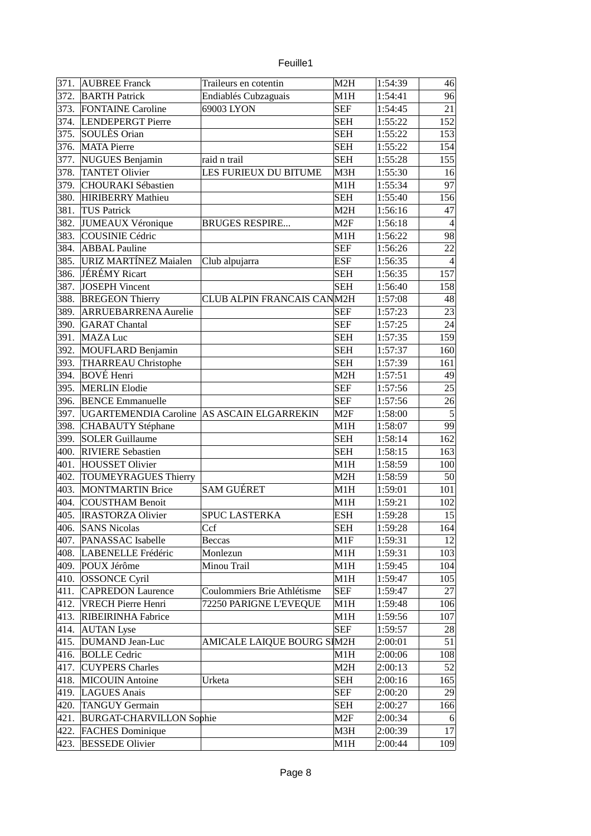|  | euille1 |
|--|---------|
|  |         |

| 371. | <b>AUBREE Franck</b>                       | Traileurs en cotentin       | M <sub>2</sub> H | 1:54:39 | 46             |
|------|--------------------------------------------|-----------------------------|------------------|---------|----------------|
| 372. | <b>BARTH Patrick</b>                       | Endiablés Cubzaguais        | M1H              | 1:54:41 | 96             |
| 373. | <b>FONTAINE Caroline</b>                   | 69003 LYON                  | <b>SEF</b>       | 1:54:45 | 21             |
| 374. | LENDEPERGT Pierre                          |                             | <b>SEH</b>       | 1:55:22 | 152            |
| 375. | SOULÈS Orian                               |                             | <b>SEH</b>       | 1:55:22 | 153            |
| 376. | <b>MATA Pierre</b>                         |                             | <b>SEH</b>       | 1:55:22 | 154            |
|      |                                            |                             | <b>SEH</b>       |         |                |
| 377. | <b>NUGUES Benjamin</b>                     | raid n trail                |                  | 1:55:28 | 155            |
| 378. | <b>TANTET Olivier</b>                      | LES FURIEUX DU BITUME       | M3H              | 1:55:30 | 16             |
| 379. | <b>CHOURAKI Sébastien</b>                  |                             | M <sub>1</sub> H | 1:55:34 | 97             |
| 380. | <b>HIRIBERRY Mathieu</b>                   |                             | <b>SEH</b>       | 1:55:40 | 156            |
| 381. | <b>TUS Patrick</b>                         |                             | M2H              | 1:56:16 | 47             |
| 382. | JUMEAUX Véronique                          | <b>BRUGES RESPIRE</b>       | M <sub>2F</sub>  | 1:56:18 | $\overline{4}$ |
| 383. | COUSINIE Cédric                            |                             | M1H              | 1:56:22 | 98             |
| 384. | <b>ABBAL Pauline</b>                       |                             | <b>SEF</b>       | 1:56:26 | 22             |
| 385. | URIZ MARTÍNEZ Maialen                      | Club alpujarra              | ESF              | 1:56:35 | $\overline{4}$ |
| 386. | JÉRÉMY Ricart                              |                             | <b>SEH</b>       | 1:56:35 | 157            |
| 387. | JOSEPH Vincent                             |                             | <b>SEH</b>       | 1:56:40 | 158            |
| 388. | <b>BREGEON Thierry</b>                     | CLUB ALPIN FRANCAIS CANM2H  |                  | 1:57:08 | 48             |
| 389. | <b>ARRUEBARRENA Aurelie</b>                |                             | <b>SEF</b>       | 1:57:23 | 23             |
| 390. | <b>GARAT</b> Chantal                       |                             | <b>SEF</b>       | 1:57:25 | 24             |
| 391. | <b>MAZA Luc</b>                            |                             | <b>SEH</b>       | 1:57:35 | 159            |
| 392. | MOUFLARD Benjamin                          |                             | <b>SEH</b>       | 1:57:37 | 160            |
| 393. | THARREAU Christophe                        |                             | <b>SEH</b>       | 1:57:39 | 161            |
| 394. | <b>BOVÉ Henri</b>                          |                             | M2H              | 1:57:51 | 49             |
| 395. | <b>MERLIN Elodie</b>                       |                             | <b>SEF</b>       | 1:57:56 | 25             |
| 396. | <b>BENCE Emmanuelle</b>                    |                             | <b>SEF</b>       | 1:57:56 | 26             |
| 397. | UGARTEMENDIA Caroline AS ASCAIN ELGARREKIN |                             | M2F              | 1:58:00 | 5              |
| 398. | <b>CHABAUTY Stéphane</b>                   |                             | M1H              | 1:58:07 | 99             |
| 399. | <b>SOLER Guillaume</b>                     |                             | <b>SEH</b>       | 1:58:14 | 162            |
| 400. | <b>RIVIERE Sebastien</b>                   |                             | <b>SEH</b>       | 1:58:15 | 163            |
| 401. | <b>HOUSSET Olivier</b>                     |                             | M1H              | 1:58:59 | 100            |
| 402. | <b>TOUMEYRAGUES Thierry</b>                |                             | M <sub>2</sub> H | 1:58:59 | 50             |
| 403. | <b>MONTMARTIN Brice</b>                    | <b>SAM GUÉRET</b>           | M1H              | 1:59:01 | 101            |
| 404. | COUSTHAM Benoit                            |                             | M1H              | 1:59:21 | 102            |
| 405. | <b>IRASTORZA Olivier</b>                   | <b>SPUC LASTERKA</b>        | <b>ESH</b>       | 1:59:28 | 15             |
| 406. | <b>SANS Nicolas</b>                        | Ccf                         | <b>SEH</b>       | 1:59:28 |                |
| 407. | PANASSAC Isabelle                          |                             | M1F              |         | 164            |
|      |                                            | <b>Beccas</b>               |                  | 1:59:31 | 12             |
| 408. | LABENELLE Frédéric                         | Monlezun                    | M1H              | 1:59:31 | 103            |
| 409. | POUX Jérôme                                | Minou Trail                 | M1H              | 1:59:45 | 104            |
| 410. | <b>OSSONCE Cyril</b>                       |                             | M1H              | 1:59:47 | 105            |
| 411. | <b>CAPREDON Laurence</b>                   | Coulommiers Brie Athlétisme | <b>SEF</b>       | 1:59:47 | 27             |
| 412. | <b>VRECH Pierre Henri</b>                  | 72250 PARIGNE L'EVEQUE      | M1H              | 1:59:48 | 106            |
| 413. | RIBEIRINHA Fabrice                         |                             | M1H              | 1:59:56 | 107            |
| 414. | <b>AUTAN</b> Lyse                          |                             | <b>SEF</b>       | 1:59:57 | 28             |
| 415. | DUMAND Jean-Luc                            | AMICALE LAIQUE BOURG SIM2H  |                  | 2:00:01 | 51             |
| 416. | <b>BOLLE</b> Cedric                        |                             | M1H              | 2:00:06 | 108            |
| 417. | <b>CUYPERS Charles</b>                     |                             | M2H              | 2:00:13 | 52             |
| 418. | <b>MICOUIN</b> Antoine                     | Urketa                      | <b>SEH</b>       | 2:00:16 | 165            |
| 419. | LAGUES Anais                               |                             | <b>SEF</b>       | 2:00:20 | 29             |
| 420. | <b>TANGUY Germain</b>                      |                             | <b>SEH</b>       | 2:00:27 | 166            |
| 421. | <b>BURGAT-CHARVILLON Sophie</b>            |                             | M <sub>2F</sub>  | 2:00:34 | 6              |
| 422. | <b>FACHES Dominique</b>                    |                             | M3H              | 2:00:39 | 17             |
| 423. | <b>BESSEDE Olivier</b>                     |                             | M1H              | 2:00:44 | 109            |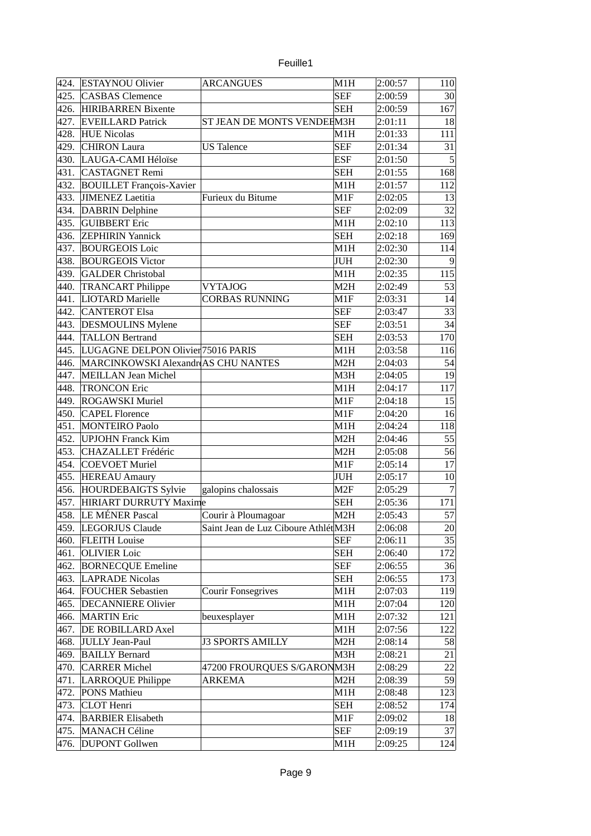| euille |  |
|--------|--|
|        |  |

| 424. | <b>ESTAYNOU Olivier</b>             | <b>ARCANGUES</b>                    | M1H        | 2:00:57 | 110            |
|------|-------------------------------------|-------------------------------------|------------|---------|----------------|
| 425. | <b>CASBAS</b> Clemence              |                                     | <b>SEF</b> | 2:00:59 | 30             |
| 426. | <b>HIRIBARREN</b> Bixente           |                                     | <b>SEH</b> | 2:00:59 | 167            |
| 427. | <b>EVEILLARD Patrick</b>            | ST JEAN DE MONTS VENDEEM3H          |            | 2:01:11 | 18             |
| 428. | <b>HUE Nicolas</b>                  |                                     | M1H        | 2:01:33 | 111            |
| 429. | <b>CHIRON</b> Laura                 | <b>US</b> Talence                   | <b>SEF</b> | 2:01:34 | 31             |
| 430. | LAUGA-CAMI Héloïse                  |                                     | <b>ESF</b> | 2:01:50 | $\overline{5}$ |
| 431. | <b>CASTAGNET Remi</b>               |                                     | <b>SEH</b> | 2:01:55 | 168            |
| 432. | <b>BOUILLET François-Xavier</b>     |                                     | M1H        | 2:01:57 | 112            |
| 433. | JIMENEZ Laetitia                    | Furieux du Bitume                   | M1F        | 2:02:05 | 13             |
| 434. | <b>DABRIN</b> Delphine              |                                     | <b>SEF</b> | 2:02:09 | 32             |
| 435. | <b>GUIBBERT</b> Eric                |                                     | M1H        |         | 113            |
|      |                                     |                                     |            | 2:02:10 |                |
| 436. | <b>ZEPHIRIN Yannick</b>             |                                     | <b>SEH</b> | 2:02:18 | 169            |
| 437. | <b>BOURGEOIS Loic</b>               |                                     | M1H        | 2:02:30 | 114            |
| 438. | <b>BOURGEOIS Victor</b>             |                                     | JUH        | 2:02:30 | 9              |
| 439. | <b>GALDER Christobal</b>            |                                     | M1H        | 2:02:35 | 115            |
| 440. | <b>TRANCART Philippe</b>            | <b>VYTAJOG</b>                      | M2H        | 2:02:49 | 53             |
| 441. | LIOTARD Marielle                    | CORBAS RUNNING                      | M1F        | 2:03:31 | 14             |
| 442. | <b>CANTEROT Elsa</b>                |                                     | <b>SEF</b> | 2:03:47 | 33             |
| 443. | <b>DESMOULINS Mylene</b>            |                                     | <b>SEF</b> | 2:03:51 | 34             |
| 444. | <b>TALLON Bertrand</b>              |                                     | <b>SEH</b> | 2:03:53 | 170            |
| 445. | LUGAGNE DELPON Olivier 75016 PARIS  |                                     | M1H        | 2:03:58 | 116            |
| 446. | MARCINKOWSKI Alexandr AS CHU NANTES |                                     | M2H        | 2:04:03 | 54             |
| 447. | MEILLAN Jean Michel                 |                                     | M3H        | 2:04:05 | 19             |
| 448. | <b>TRONCON Eric</b>                 |                                     | M1H        | 2:04:17 | 117            |
| 449. | <b>ROGAWSKI Muriel</b>              |                                     | M1F        | 2:04:18 | 15             |
| 450. | <b>CAPEL Florence</b>               |                                     | M1F        | 2:04:20 | 16             |
| 451. | <b>MONTEIRO Paolo</b>               |                                     | M1H        | 2:04:24 | 118            |
| 452. | <b>UPJOHN Franck Kim</b>            |                                     | M2H        | 2:04:46 | 55             |
| 453. | CHAZALLET Frédéric                  |                                     | M2H        | 2:05:08 | 56             |
| 454. | <b>COEVOET Muriel</b>               |                                     | M1F        | 2:05:14 | 17             |
| 455. | <b>HEREAU Amaury</b>                |                                     | JUH        | 2:05:17 | 10             |
| 456. | <b>HOURDEBAIGTS Sylvie</b>          | galopins chalossais                 | M2F        | 2:05:29 | $\overline{7}$ |
| 457. | HIRIART DURRUTY Maxime              |                                     | <b>SEH</b> | 2:05:36 | 171            |
| 458. | LE MÉNER Pascal                     | Courir à Ploumagoar                 | M2H        | 2:05:43 | 57             |
| 459. | LEGORJUS Claude                     | Saint Jean de Luz Ciboure AthlétM3H |            | 2:06:08 | 20             |
| 460. | <b>FLEITH Louise</b>                |                                     | <b>SEF</b> | 2:06:11 | 35             |
| 461. | <b>OLIVIER Loic</b>                 |                                     | <b>SEH</b> | 2:06:40 | 172            |
| 462. | <b>BORNECQUE Emeline</b>            |                                     | <b>SEF</b> | 2:06:55 | 36             |
| 463. | <b>LAPRADE Nicolas</b>              |                                     | <b>SEH</b> | 2:06:55 | 173            |
|      | <b>FOUCHER Sebastien</b>            |                                     |            |         |                |
| 464. |                                     | <b>Courir Fonsegrives</b>           | M1H        | 2:07:03 | 119            |
| 465. | <b>DECANNIERE Olivier</b>           |                                     | M1H        | 2:07:04 | 120            |
| 466. | <b>MARTIN Eric</b>                  | beuxesplayer                        | M1H        | 2:07:32 | 121            |
| 467. | <b>DE ROBILLARD Axel</b>            |                                     | M1H        | 2:07:56 | 122            |
| 468. | <b>JULLY Jean-Paul</b>              | <b>J3 SPORTS AMILLY</b>             | M2H        | 2:08:14 | 58             |
| 469. | <b>BAILLY Bernard</b>               |                                     | M3H        | 2:08:21 | 21             |
| 470. | <b>CARRER Michel</b>                | 47200 FROURQUES S/GARONM3H          |            | 2:08:29 | 22             |
| 471. | LARROQUE Philippe                   | ARKEMA                              | M2H        | 2:08:39 | 59             |
| 472. | PONS Mathieu                        |                                     | M1H        | 2:08:48 | 123            |
| 473. | <b>CLOT</b> Henri                   |                                     | <b>SEH</b> | 2:08:52 | 174            |
| 474. | <b>BARBIER Elisabeth</b>            |                                     | M1F        | 2:09:02 | 18             |
| 475. | <b>MANACH Céline</b>                |                                     | <b>SEF</b> | 2:09:19 | 37             |
| 476. | <b>DUPONT Gollwen</b>               |                                     | M1H        | 2:09:25 | 124            |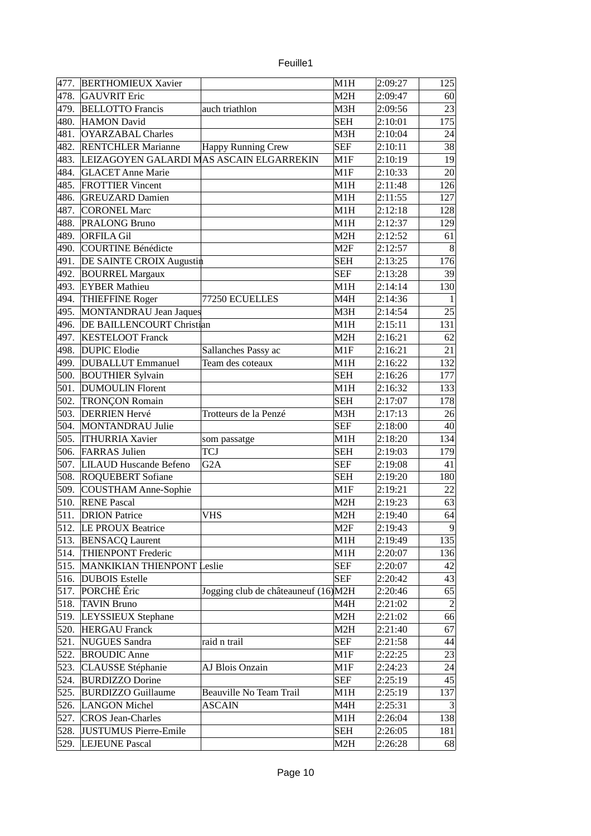| euille |  |
|--------|--|
|        |  |
|        |  |

| 477. | <b>BERTHOMIEUX Xavier</b>                |                                      | M1H             | 2:09:27 | 125            |
|------|------------------------------------------|--------------------------------------|-----------------|---------|----------------|
| 478. | <b>GAUVRIT Eric</b>                      |                                      | M2H             | 2:09:47 | 60             |
| 479. | <b>BELLOTTO Francis</b>                  | auch triathlon                       | M3H             | 2:09:56 | 23             |
| 480. | HAMON David                              |                                      | <b>SEH</b>      | 2:10:01 | 175            |
| 481. | <b>OYARZABAL Charles</b>                 |                                      | M3H             | 2:10:04 | 24             |
| 482. | <b>RENTCHLER Marianne</b>                | <b>Happy Running Crew</b>            | <b>SEF</b>      | 2:10:11 | 38             |
| 483. | LEIZAGOYEN GALARDI MAS ASCAIN ELGARREKIN |                                      | M1F             | 2:10:19 | 19             |
| 484. | <b>GLACET Anne Marie</b>                 |                                      | M1F             | 2:10:33 | 20             |
| 485. | <b>FROTTIER Vincent</b>                  |                                      | M1H             | 2:11:48 | 126            |
| 486. | <b>GREUZARD Damien</b>                   |                                      | M1H             | 2:11:55 | 127            |
| 487. | <b>CORONEL Marc</b>                      |                                      | M1H             | 2:12:18 | 128            |
| 488. | PRALONG Bruno                            |                                      | M1H             | 2:12:37 | 129            |
| 489. | <b>ORFILA Gil</b>                        |                                      | M2H             | 2:12:52 | 61             |
| 490. | COURTINE Bénédicte                       |                                      | M <sub>2F</sub> | 2:12:57 | $\bf{8}$       |
| 491. | DE SAINTE CROIX Augustin                 |                                      | <b>SEH</b>      | 2:13:25 | 176            |
| 492. | <b>BOURREL Margaux</b>                   |                                      | <b>SEF</b>      | 2:13:28 | 39             |
| 493. | <b>EYBER Mathieu</b>                     |                                      | M1H             | 2:14:14 | 130            |
| 494. | <b>THIEFFINE Roger</b>                   | 77250 ECUELLES                       | M4H             | 2:14:36 | $\mathbf{1}$   |
| 495. | MONTANDRAU Jean Jaques                   |                                      | M3H             | 2:14:54 | 25             |
| 496. | <b>DE BAILLENCOURT Christian</b>         |                                      | M1H             | 2:15:11 | 131            |
| 497. | <b>KESTELOOT Franck</b>                  |                                      | M2H             | 2:16:21 | 62             |
| 498. | <b>DUPIC Elodie</b>                      | Sallanches Passy ac                  | M1F             | 2:16:21 | 21             |
| 499. | <b>DUBALLUT Emmanuel</b>                 | Team des coteaux                     | M1H             |         |                |
| 500. |                                          |                                      | <b>SEH</b>      | 2:16:22 | 132<br>177     |
|      | <b>BOUTHIER Sylvain</b>                  |                                      |                 | 2:16:26 |                |
| 501. | <b>DUMOULIN Florent</b>                  |                                      | M1H             | 2:16:32 | 133            |
| 502. | <b>TRONÇON Romain</b>                    |                                      | <b>SEH</b>      | 2:17:07 | 178            |
| 503. | <b>DERRIEN Hervé</b>                     | Trotteurs de la Penzé                | M3H             | 2:17:13 | 26             |
| 504. | <b>MONTANDRAU Julie</b>                  |                                      | <b>SEF</b>      | 2:18:00 | 40             |
| 505. | <b>ITHURRIA Xavier</b>                   | som passatge                         | M1H             | 2:18:20 | 134            |
| 506. | <b>FARRAS Julien</b>                     | TCJ                                  | <b>SEH</b>      | 2:19:03 | 179            |
| 507. | <b>LILAUD Huscande Befeno</b>            | G2A                                  | <b>SEF</b>      | 2:19:08 | 41             |
| 508. | <b>ROQUEBERT Sofiane</b>                 |                                      | <b>SEH</b>      | 2:19:20 | 180            |
| 509. | COUSTHAM Anne-Sophie                     |                                      | M1F             | 2:19:21 | 22             |
| 510. | <b>RENE Pascal</b>                       |                                      | M2H             | 2:19:23 | 63             |
| 511. | <b>DRION Patrice</b>                     | VHS                                  | M2H             | 2:19:40 | 64             |
| 512. | LE PROUX Beatrice                        |                                      | M <sub>2F</sub> | 2:19:43 | 9              |
| 513. | <b>BENSACQ Laurent</b>                   |                                      | M1H             | 2:19:49 | 135            |
| 514. | <b>THIENPONT Frederic</b>                |                                      | M1H             | 2:20:07 | 136            |
| 515. | <b>MANKIKIAN THIENPONT Leslie</b>        |                                      | <b>SEF</b>      | 2:20:07 | 42             |
| 516. | <b>DUBOIS</b> Estelle                    |                                      | <b>SEF</b>      | 2:20:42 | 43             |
| 517. | PORCHÉ Éric                              | Jogging club de châteauneuf (16) M2H |                 | 2:20:46 | 65             |
| 518. | <b>TAVIN Bruno</b>                       |                                      | M4H             | 2:21:02 | $\vert$ 2      |
| 519. | LEYSSIEUX Stephane                       |                                      | M2H             | 2:21:02 | 66             |
| 520. | <b>HERGAU Franck</b>                     |                                      | M2H             | 2:21:40 | 67             |
| 521. | NUGUES Sandra                            | raid n trail                         | <b>SEF</b>      | 2:21:58 | 44             |
| 522. | <b>BROUDIC Anne</b>                      |                                      | M1F             | 2:22:25 | 23             |
| 523. | <b>CLAUSSE Stéphanie</b>                 | AJ Blois Onzain                      | M1F             | 2:24:23 | 24             |
| 524. | <b>BURDIZZO Dorine</b>                   |                                      | <b>SEF</b>      | 2:25:19 | 45             |
| 525. | <b>BURDIZZO Guillaume</b>                | Beauville No Team Trail              | M1H             | 2:25:19 | 137            |
| 526. | LANGON Michel                            | <b>ASCAIN</b>                        | M4H             | 2:25:31 | $\overline{3}$ |
| 527. | <b>CROS Jean-Charles</b>                 |                                      | M1H             | 2:26:04 | 138            |
| 528. | <b>JUSTUMUS Pierre-Emile</b>             |                                      | <b>SEH</b>      | 2:26:05 | 181            |
| 529. | <b>LEJEUNE Pascal</b>                    |                                      | M2H             | 2:26:28 | 68             |